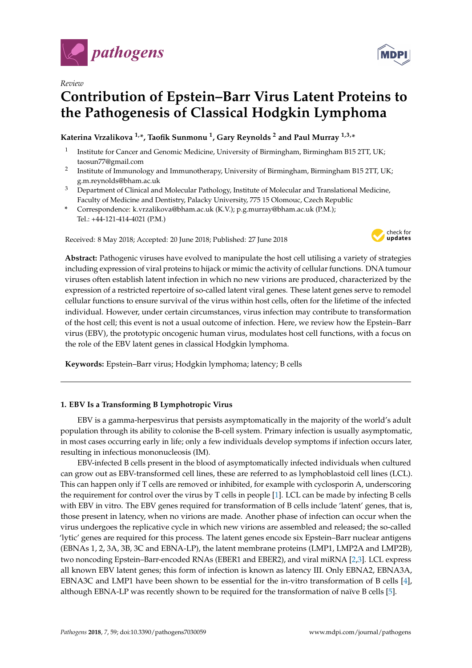

*Review*

# **Contribution of Epstein–Barr Virus Latent Proteins to the Pathogenesis of Classical Hodgkin Lymphoma**

## **Katerina Vrzalikova 1,\*, Taofik Sunmonu <sup>1</sup> , Gary Reynolds <sup>2</sup> and Paul Murray 1,3,\***

- 1 Institute for Cancer and Genomic Medicine, University of Birmingham, Birmingham B15 2TT, UK; taosun77@gmail.com
- 2 Institute of Immunology and Immunotherapy, University of Birmingham, Birmingham B15 2TT, UK; g.m.reynolds@bham.ac.uk
- <sup>3</sup> Department of Clinical and Molecular Pathology, Institute of Molecular and Translational Medicine, Faculty of Medicine and Dentistry, Palacky University, 775 15 Olomouc, Czech Republic
- **\*** Correspondence: k.vrzalikova@bham.ac.uk (K.V.); p.g.murray@bham.ac.uk (P.M.); Tel.: +44-121-414-4021 (P.M.)

Received: 8 May 2018; Accepted: 20 June 2018; Published: 27 June 2018



**Abstract:** Pathogenic viruses have evolved to manipulate the host cell utilising a variety of strategies including expression of viral proteins to hijack or mimic the activity of cellular functions. DNA tumour viruses often establish latent infection in which no new virions are produced, characterized by the expression of a restricted repertoire of so-called latent viral genes. These latent genes serve to remodel cellular functions to ensure survival of the virus within host cells, often for the lifetime of the infected individual. However, under certain circumstances, virus infection may contribute to transformation of the host cell; this event is not a usual outcome of infection. Here, we review how the Epstein–Barr virus (EBV), the prototypic oncogenic human virus, modulates host cell functions, with a focus on the role of the EBV latent genes in classical Hodgkin lymphoma.

**Keywords:** Epstein–Barr virus; Hodgkin lymphoma; latency; B cells

### **1. EBV Is a Transforming B Lymphotropic Virus**

EBV is a gamma-herpesvirus that persists asymptomatically in the majority of the world's adult population through its ability to colonise the B-cell system. Primary infection is usually asymptomatic, in most cases occurring early in life; only a few individuals develop symptoms if infection occurs later, resulting in infectious mononucleosis (IM).

EBV-infected B cells present in the blood of asymptomatically infected individuals when cultured can grow out as EBV-transformed cell lines, these are referred to as lymphoblastoid cell lines (LCL). This can happen only if T cells are removed or inhibited, for example with cyclosporin A, underscoring the requirement for control over the virus by T cells in people [\[1\]](#page-6-0). LCL can be made by infecting B cells with EBV in vitro. The EBV genes required for transformation of B cells include 'latent' genes, that is, those present in latency, when no virions are made. Another phase of infection can occur when the virus undergoes the replicative cycle in which new virions are assembled and released; the so-called 'lytic' genes are required for this process. The latent genes encode six Epstein–Barr nuclear antigens (EBNAs 1, 2, 3A, 3B, 3C and EBNA-LP), the latent membrane proteins (LMP1, LMP2A and LMP2B), two noncoding Epstein–Barr-encoded RNAs (EBER1 and EBER2), and viral miRNA [\[2](#page-6-1)[,3\]](#page-6-2). LCL express all known EBV latent genes; this form of infection is known as latency III. Only EBNA2, EBNA3A, EBNA3C and LMP1 have been shown to be essential for the in-vitro transformation of B cells [\[4\]](#page-6-3), although EBNA-LP was recently shown to be required for the transformation of naïve B cells [\[5\]](#page-6-4).

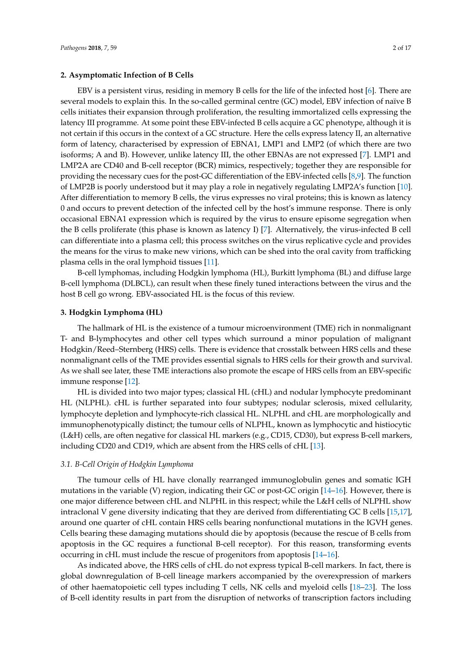#### **2. Asymptomatic Infection of B Cells**

EBV is a persistent virus, residing in memory B cells for the life of the infected host [\[6\]](#page-6-5). There are several models to explain this. In the so-called germinal centre (GC) model, EBV infection of naïve B cells initiates their expansion through proliferation, the resulting immortalized cells expressing the latency III programme. At some point these EBV-infected B cells acquire a GC phenotype, although it is not certain if this occurs in the context of a GC structure. Here the cells express latency II, an alternative form of latency, characterised by expression of EBNA1, LMP1 and LMP2 (of which there are two isoforms; A and B). However, unlike latency III, the other EBNAs are not expressed [\[7\]](#page-6-6). LMP1 and LMP2A are CD40 and B-cell receptor (BCR) mimics, respectively; together they are responsible for providing the necessary cues for the post-GC differentiation of the EBV-infected cells [\[8](#page-6-7)[,9\]](#page-6-8). The function of LMP2B is poorly understood but it may play a role in negatively regulating LMP2A's function [\[10\]](#page-7-0). After differentiation to memory B cells, the virus expresses no viral proteins; this is known as latency 0 and occurs to prevent detection of the infected cell by the host's immune response. There is only occasional EBNA1 expression which is required by the virus to ensure episome segregation when the B cells proliferate (this phase is known as latency I) [\[7\]](#page-6-6). Alternatively, the virus-infected B cell can differentiate into a plasma cell; this process switches on the virus replicative cycle and provides the means for the virus to make new virions, which can be shed into the oral cavity from trafficking plasma cells in the oral lymphoid tissues [\[11\]](#page-7-1).

B-cell lymphomas, including Hodgkin lymphoma (HL), Burkitt lymphoma (BL) and diffuse large B-cell lymphoma (DLBCL), can result when these finely tuned interactions between the virus and the host B cell go wrong. EBV-associated HL is the focus of this review.

#### **3. Hodgkin Lymphoma (HL)**

The hallmark of HL is the existence of a tumour microenvironment (TME) rich in nonmalignant T- and B-lymphocytes and other cell types which surround a minor population of malignant Hodgkin/Reed–Sternberg (HRS) cells. There is evidence that crosstalk between HRS cells and these nonmalignant cells of the TME provides essential signals to HRS cells for their growth and survival. As we shall see later, these TME interactions also promote the escape of HRS cells from an EBV-specific immune response [\[12\]](#page-7-2).

HL is divided into two major types; classical HL (cHL) and nodular lymphocyte predominant HL (NLPHL). cHL is further separated into four subtypes; nodular sclerosis, mixed cellularity, lymphocyte depletion and lymphocyte-rich classical HL. NLPHL and cHL are morphologically and immunophenotypically distinct; the tumour cells of NLPHL, known as lymphocytic and histiocytic (L&H) cells, are often negative for classical HL markers (e.g., CD15, CD30), but express B-cell markers, including CD20 and CD19, which are absent from the HRS cells of cHL [\[13\]](#page-7-3).

#### *3.1. B-Cell Origin of Hodgkin Lymphoma*

The tumour cells of HL have clonally rearranged immunoglobulin genes and somatic IGH mutations in the variable (V) region, indicating their GC or post-GC origin [\[14–](#page-7-4)[16\]](#page-7-5). However, there is one major difference between cHL and NLPHL in this respect; while the L&H cells of NLPHL show intraclonal V gene diversity indicating that they are derived from differentiating GC B cells [\[15,](#page-7-6)[17\]](#page-7-7), around one quarter of cHL contain HRS cells bearing nonfunctional mutations in the IGVH genes. Cells bearing these damaging mutations should die by apoptosis (because the rescue of B cells from apoptosis in the GC requires a functional B-cell receptor). For this reason, transforming events occurring in cHL must include the rescue of progenitors from apoptosis [\[14–](#page-7-4)[16\]](#page-7-5).

As indicated above, the HRS cells of cHL do not express typical B-cell markers. In fact, there is global downregulation of B-cell lineage markers accompanied by the overexpression of markers of other haematopoietic cell types including T cells, NK cells and myeloid cells [\[18–](#page-7-8)[23\]](#page-7-9). The loss of B-cell identity results in part from the disruption of networks of transcription factors including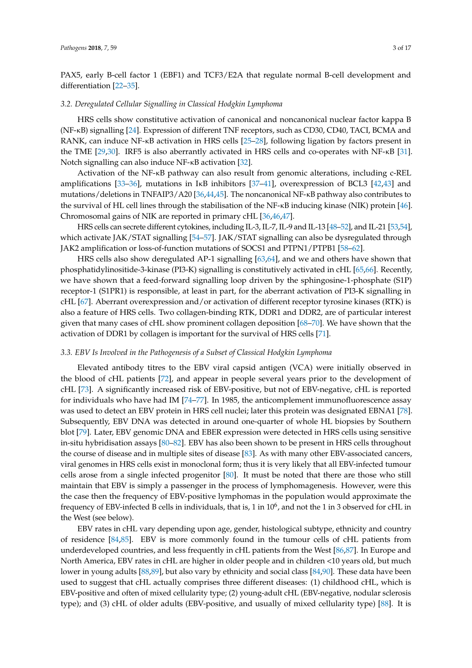PAX5, early B-cell factor 1 (EBF1) and TCF3/E2A that regulate normal B-cell development and differentiation [\[22](#page-7-10)[–35\]](#page-8-0).

#### *3.2. Deregulated Cellular Signalling in Classical Hodgkin Lymphoma*

HRS cells show constitutive activation of canonical and noncanonical nuclear factor kappa B (NF-κB) signalling [\[24\]](#page-7-11). Expression of different TNF receptors, such as CD30, CD40, TACI, BCMA and RANK, can induce NF-κB activation in HRS cells [\[25](#page-7-12)[–28\]](#page-8-1), following ligation by factors present in the TME [\[29,](#page-8-2)[30\]](#page-8-3). IRF5 is also aberrantly activated in HRS cells and co-operates with NF-κB [\[31\]](#page-8-4). Notch signalling can also induce NF-κB activation [\[32\]](#page-8-5).

Activation of the NF-κB pathway can also result from genomic alterations, including c-REL amplifications [\[33](#page-8-6)[–36\]](#page-8-7), mutations in IκB inhibitors [\[37–](#page-8-8)[41\]](#page-8-9), overexpression of BCL3 [\[42](#page-8-10)[,43\]](#page-8-11) and mutations/deletions in TNFAIP3/A20 [\[36,](#page-8-7)[44](#page-9-0)[,45\]](#page-9-1). The noncanonical NF-κB pathway also contributes to the survival of HL cell lines through the stabilisation of the NF-κB inducing kinase (NIK) protein [\[46\]](#page-9-2). Chromosomal gains of NIK are reported in primary cHL [\[36,](#page-8-7)[46](#page-9-2)[,47\]](#page-9-3).

HRS cells can secrete different cytokines, including IL-3, IL-7, IL-9 and IL-13 [\[48](#page-9-4)[–52\]](#page-9-5), and IL-21 [\[53](#page-9-6)[,54\]](#page-9-7), which activate JAK/STAT signalling [\[54](#page-9-7)[–57\]](#page-9-8). JAK/STAT signalling can also be dysregulated through JAK2 amplification or loss-of-function mutations of SOCS1 and PTPN1/PTPB1 [\[58](#page-9-9)[–62\]](#page-10-0).

HRS cells also show deregulated AP-1 signalling [\[63,](#page-10-1)[64\]](#page-10-2), and we and others have shown that phosphatidylinositide-3-kinase (PI3-K) signalling is constitutively activated in cHL [\[65](#page-10-3)[,66\]](#page-10-4). Recently, we have shown that a feed-forward signalling loop driven by the sphingosine-1-phosphate (S1P) receptor-1 (S1PR1) is responsible, at least in part, for the aberrant activation of PI3-K signalling in cHL [\[67\]](#page-10-5). Aberrant overexpression and/or activation of different receptor tyrosine kinases (RTK) is also a feature of HRS cells. Two collagen-binding RTK, DDR1 and DDR2, are of particular interest given that many cases of cHL show prominent collagen deposition [\[68](#page-10-6)[–70\]](#page-10-7). We have shown that the activation of DDR1 by collagen is important for the survival of HRS cells [\[71\]](#page-10-8).

#### *3.3. EBV Is Involved in the Pathogenesis of a Subset of Classical Hodgkin Lymphoma*

Elevated antibody titres to the EBV viral capsid antigen (VCA) were initially observed in the blood of cHL patients [\[72\]](#page-10-9), and appear in people several years prior to the development of cHL [\[73\]](#page-10-10). A significantly increased risk of EBV-positive, but not of EBV-negative, cHL is reported for individuals who have had IM [\[74](#page-10-11)[–77\]](#page-10-12). In 1985, the anticomplement immunofluorescence assay was used to detect an EBV protein in HRS cell nuclei; later this protein was designated EBNA1 [\[78\]](#page-10-13). Subsequently, EBV DNA was detected in around one-quarter of whole HL biopsies by Southern blot [\[79\]](#page-10-14). Later, EBV genomic DNA and EBER expression were detected in HRS cells using sensitive in-situ hybridisation assays [\[80–](#page-11-0)[82\]](#page-11-1). EBV has also been shown to be present in HRS cells throughout the course of disease and in multiple sites of disease [\[83\]](#page-11-2). As with many other EBV-associated cancers, viral genomes in HRS cells exist in monoclonal form; thus it is very likely that all EBV-infected tumour cells arose from a single infected progenitor [\[80\]](#page-11-0). It must be noted that there are those who still maintain that EBV is simply a passenger in the process of lymphomagenesis. However, were this the case then the frequency of EBV-positive lymphomas in the population would approximate the frequency of EBV-infected B cells in individuals, that is, 1 in 10<sup>6</sup>, and not the 1 in 3 observed for cHL in the West (see below).

EBV rates in cHL vary depending upon age, gender, histological subtype, ethnicity and country of residence [\[84,](#page-11-3)[85\]](#page-11-4). EBV is more commonly found in the tumour cells of cHL patients from underdeveloped countries, and less frequently in cHL patients from the West [\[86](#page-11-5)[,87\]](#page-11-6). In Europe and North America, EBV rates in cHL are higher in older people and in children <10 years old, but much lower in young adults [\[88](#page-11-7)[,89\]](#page-11-8), but also vary by ethnicity and social class [\[84,](#page-11-3)[90\]](#page-11-9). These data have been used to suggest that cHL actually comprises three different diseases: (1) childhood cHL, which is EBV-positive and often of mixed cellularity type; (2) young-adult cHL (EBV-negative, nodular sclerosis type); and (3) cHL of older adults (EBV-positive, and usually of mixed cellularity type) [\[88\]](#page-11-7). It is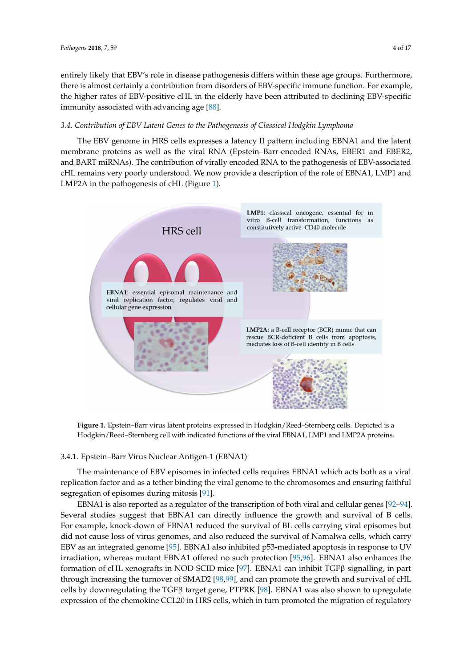entirely likely that EBV's role in disease pathogenesis differs within these age groups. Furthermore, there is almost certainly a contribution from disorders of EBV-specific immune function. For example, the higher rates of EBV-positive cHL in the elderly have been attributed to declining EBV-specific immunity associated with advancing age [\[88\]](#page-11-7).

#### *3.4. Contribution of EBV Latent Genes to the Pathogenesis of Classical Hodgkin Lymphoma*

The EBV genome in HRS cells expresses a latency II pattern including EBNA1 and the latent membrane proteins as well as the viral RNA (Epstein–Barr-encoded RNAs, EBER1 and EBER2, and BART miRNAs). The contribution of virally encoded RNA to the pathogenesis of EBV-associated cHL remains very poorly understood. We now provide a description of the role of EBNA1, LMP1 and LMP2A in the pathogenesis of cHL (Figure [1\)](#page-3-0).

<span id="page-3-0"></span>

**Figure 1.** Epstein–Barr virus latent proteins expressed in Hodgkin/Reed–Sternberg cells. Depicted is a Hodgkin/Reed–Sternberg cell with indicated functions of the viral EBNA1, LMP1 and LMP2A proteins.

#### 3.4.1. Epstein–Barr Virus Nuclear Antigen-1 (EBNA1)

The maintenance of EBV episomes in infected cells requires EBNA1 which acts both as a viral replication factor and as a tether binding the viral genome to the chromosomes and ensuring faithful segregation of episomes during mitosis [\[91\]](#page-11-10).

EBNA1 is also reported as a regulator of the transcription of both viral and cellular genes [\[92–](#page-11-11)[94\]](#page-11-12). Several studies suggest that EBNA1 can directly influence the growth and survival of B cells. For example, knock-down of EBNA1 reduced the survival of BL cells carrying viral episomes but did not cause loss of virus genomes, and also reduced the survival of Namalwa cells, which carry EBV as an integrated genome [\[95\]](#page-11-13). EBNA1 also inhibited p53-mediated apoptosis in response to UV irradiation, whereas mutant EBNA1 offered no such protection [\[95,](#page-11-13)[96\]](#page-11-14). EBNA1 also enhances the formation of cHL xenografts in NOD-SCID mice [\[97\]](#page-11-15). EBNA1 can inhibit TGFβ signalling, in part through increasing the turnover of SMAD2 [\[98,](#page-11-16)[99\]](#page-11-17), and can promote the growth and survival of cHL cells by downregulating the TGFβ target gene, PTPRK [\[98\]](#page-11-16). EBNA1 was also shown to upregulate expression of the chemokine CCL20 in HRS cells, which in turn promoted the migration of regulatory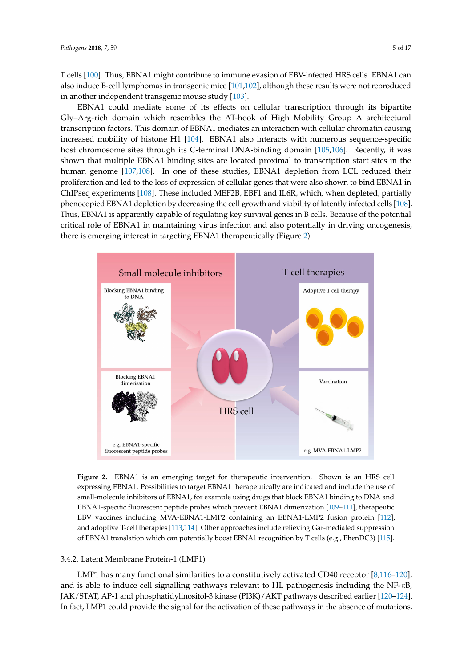T cells [\[100\]](#page-12-0). Thus, EBNA1 might contribute to immune evasion of EBV-infected HRS cells. EBNA1 can also induce B-cell lymphomas in transgenic mice [\[101,](#page-12-1)[102\]](#page-12-2), although these results were not reproduced in another independent transgenic mouse study [\[103\]](#page-12-3).

EBNA1 could mediate some of its effects on cellular transcription through its bipartite Gly–Arg-rich domain which resembles the AT-hook of High Mobility Group A architectural transcription factors. This domain of EBNA1 mediates an interaction with cellular chromatin causing increased mobility of histone H1 [\[104\]](#page-12-4). EBNA1 also interacts with numerous sequence-specific host chromosome sites through its C-terminal DNA-binding domain [\[105,](#page-12-5)[106\]](#page-12-6). Recently, it was shown that multiple EBNA1 binding sites are located proximal to transcription start sites in the human genome [\[107](#page-12-7)[,108\]](#page-12-8). In one of these studies, EBNA1 depletion from LCL reduced their proliferation and led to the loss of expression of cellular genes that were also shown to bind EBNA1 in ChIPseq experiments [\[108\]](#page-12-8). These included MEF2B, EBF1 and IL6R, which, when depleted, partially phenocopied EBNA1 depletion by decreasing the cell growth and viability of latently infected cells [\[108\]](#page-12-8). Thus, EBNA1 is apparently capable of regulating key survival genes in B cells. Because of the potential critical role of EBNA1 in maintaining virus infection and also potentially in driving oncogenesis, there is emerging interest in targeting EBNA1 therapeutically (Figure [2\)](#page-4-0).

<span id="page-4-0"></span>

**Figure 2.** EBNA1 is an emerging target for therapeutic intervention. Shown is an HRS cell expressing EBNA1. Possibilities to target EBNA1 therapeutically are indicated and include the use of small-molecule inhibitors of EBNA1, for example using drugs that block EBNA1 binding to DNA and EBNA1-specific fluorescent peptide probes which prevent EBNA1 dimerization [\[109–](#page-12-9)[111\]](#page-12-10), therapeutic EBV vaccines including MVA-EBNA1-LMP2 containing an EBNA1-LMP2 fusion protein [\[112\]](#page-12-11), and adoptive T-cell therapies [\[113](#page-12-12)[,114\]](#page-12-13). Other approaches include relieving Gar-mediated suppression of EBNA1 translation which can potentially boost EBNA1 recognition by T cells (e.g., PhenDC3) [\[115\]](#page-12-14).

#### 3.4.2. Latent Membrane Protein-1 (LMP1)

LMP1 has many functional similarities to a constitutively activated CD40 receptor [\[8,](#page-6-7)[116](#page-12-15)[–120\]](#page-13-0), and is able to induce cell signalling pathways relevant to HL pathogenesis including the NF-κB, JAK/STAT, AP-1 and phosphatidylinositol-3 kinase (PI3K)/AKT pathways described earlier [\[120–](#page-13-0)[124\]](#page-13-1). In fact, LMP1 could provide the signal for the activation of these pathways in the absence of mutations.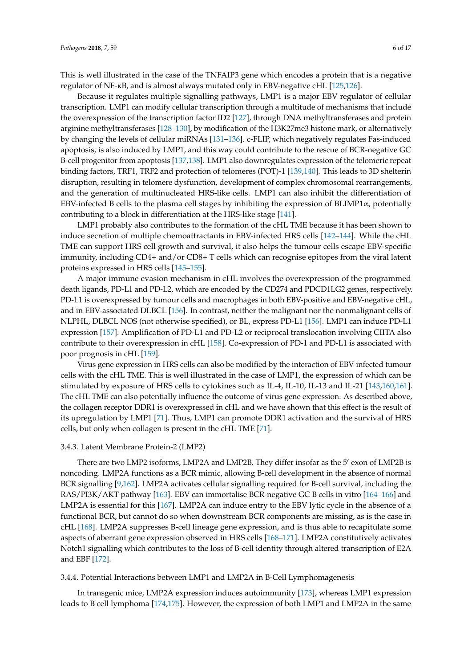This is well illustrated in the case of the TNFAIP3 gene which encodes a protein that is a negative regulator of NF-κB, and is almost always mutated only in EBV-negative cHL [\[125,](#page-13-2)[126\]](#page-13-3).

Because it regulates multiple signalling pathways, LMP1 is a major EBV regulator of cellular transcription. LMP1 can modify cellular transcription through a multitude of mechanisms that include the overexpression of the transcription factor ID2 [\[127\]](#page-13-4), through DNA methyltransferases and protein arginine methyltransferases [\[128–](#page-13-5)[130\]](#page-13-6), by modification of the H3K27me3 histone mark, or alternatively by changing the levels of cellular miRNAs [\[131–](#page-13-7)[136\]](#page-14-0). c-FLIP, which negatively regulates Fas-induced apoptosis, is also induced by LMP1, and this way could contribute to the rescue of BCR-negative GC B-cell progenitor from apoptosis [\[137,](#page-14-1)[138\]](#page-14-2). LMP1 also downregulates expression of the telomeric repeat binding factors, TRF1, TRF2 and protection of telomeres (POT)-1 [\[139](#page-14-3)[,140\]](#page-14-4). This leads to 3D shelterin disruption, resulting in telomere dysfunction, development of complex chromosomal rearrangements, and the generation of multinucleated HRS-like cells. LMP1 can also inhibit the differentiation of EBV-infected B cells to the plasma cell stages by inhibiting the expression of BLIMP1 $\alpha$ , potentially contributing to a block in differentiation at the HRS-like stage [\[141\]](#page-14-5).

LMP1 probably also contributes to the formation of the cHL TME because it has been shown to induce secretion of multiple chemoattractants in EBV-infected HRS cells [\[142](#page-14-6)[–144\]](#page-14-7). While the cHL TME can support HRS cell growth and survival, it also helps the tumour cells escape EBV-specific immunity, including CD4+ and/or CD8+ T cells which can recognise epitopes from the viral latent proteins expressed in HRS cells [\[145–](#page-14-8)[155\]](#page-15-0).

A major immune evasion mechanism in cHL involves the overexpression of the programmed death ligands, PD-L1 and PD-L2, which are encoded by the CD274 and PDCD1LG2 genes, respectively. PD-L1 is overexpressed by tumour cells and macrophages in both EBV-positive and EBV-negative cHL, and in EBV-associated DLBCL [\[156\]](#page-15-1). In contrast, neither the malignant nor the nonmalignant cells of NLPHL, DLBCL NOS (not otherwise specified), or BL, express PD-L1 [\[156\]](#page-15-1). LMP1 can induce PD-L1 expression [\[157\]](#page-15-2). Amplification of PD-L1 and PD-L2 or reciprocal translocation involving CIITA also contribute to their overexpression in cHL [\[158\]](#page-15-3). Co-expression of PD-1 and PD-L1 is associated with poor prognosis in cHL [\[159\]](#page-15-4).

Virus gene expression in HRS cells can also be modified by the interaction of EBV-infected tumour cells with the cHL TME. This is well illustrated in the case of LMP1, the expression of which can be stimulated by exposure of HRS cells to cytokines such as IL-4, IL-10, IL-13 and IL-21 [\[143,](#page-14-9)[160,](#page-15-5)[161\]](#page-15-6). The cHL TME can also potentially influence the outcome of virus gene expression. As described above, the collagen receptor DDR1 is overexpressed in cHL and we have shown that this effect is the result of its upregulation by LMP1 [\[71\]](#page-10-8). Thus, LMP1 can promote DDR1 activation and the survival of HRS cells, but only when collagen is present in the cHL TME [\[71\]](#page-10-8).

#### 3.4.3. Latent Membrane Protein-2 (LMP2)

There are two LMP2 isoforms, LMP2A and LMP2B. They differ insofar as the 5' exon of LMP2B is noncoding. LMP2A functions as a BCR mimic, allowing B-cell development in the absence of normal BCR signalling [\[9](#page-6-8)[,162\]](#page-15-7). LMP2A activates cellular signalling required for B-cell survival, including the RAS/PI3K/AKT pathway [\[163\]](#page-15-8). EBV can immortalise BCR-negative GC B cells in vitro [\[164](#page-15-9)[–166\]](#page-15-10) and LMP2A is essential for this [\[167\]](#page-15-11). LMP2A can induce entry to the EBV lytic cycle in the absence of a functional BCR, but cannot do so when downstream BCR components are missing, as is the case in cHL [\[168\]](#page-15-12). LMP2A suppresses B-cell lineage gene expression, and is thus able to recapitulate some aspects of aberrant gene expression observed in HRS cells [\[168–](#page-15-12)[171\]](#page-16-0). LMP2A constitutively activates Notch1 signalling which contributes to the loss of B-cell identity through altered transcription of E2A and EBF [\[172\]](#page-16-1).

#### 3.4.4. Potential Interactions between LMP1 and LMP2A in B-Cell Lymphomagenesis

In transgenic mice, LMP2A expression induces autoimmunity [\[173\]](#page-16-2), whereas LMP1 expression leads to B cell lymphoma [\[174](#page-16-3)[,175\]](#page-16-4). However, the expression of both LMP1 and LMP2A in the same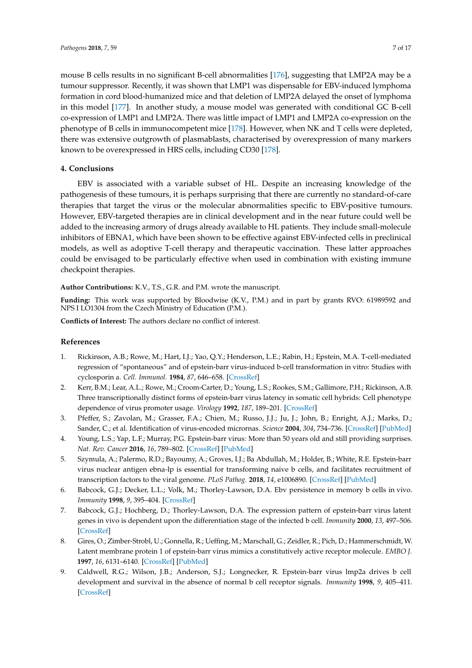mouse B cells results in no significant B-cell abnormalities [\[176\]](#page-16-5), suggesting that LMP2A may be a tumour suppressor. Recently, it was shown that LMP1 was dispensable for EBV-induced lymphoma formation in cord blood-humanized mice and that deletion of LMP2A delayed the onset of lymphoma in this model [\[177\]](#page-16-6). In another study, a mouse model was generated with conditional GC B-cell co-expression of LMP1 and LMP2A. There was little impact of LMP1 and LMP2A co-expression on the phenotype of B cells in immunocompetent mice [\[178\]](#page-16-7). However, when NK and T cells were depleted, there was extensive outgrowth of plasmablasts, characterised by overexpression of many markers known to be overexpressed in HRS cells, including CD30 [\[178\]](#page-16-7).

#### **4. Conclusions**

EBV is associated with a variable subset of HL. Despite an increasing knowledge of the pathogenesis of these tumours, it is perhaps surprising that there are currently no standard-of-care therapies that target the virus or the molecular abnormalities specific to EBV-positive tumours. However, EBV-targeted therapies are in clinical development and in the near future could well be added to the increasing armory of drugs already available to HL patients. They include small-molecule inhibitors of EBNA1, which have been shown to be effective against EBV-infected cells in preclinical models, as well as adoptive T-cell therapy and therapeutic vaccination. These latter approaches could be envisaged to be particularly effective when used in combination with existing immune checkpoint therapies.

**Author Contributions:** K.V., T.S., G.R. and P.M. wrote the manuscript.

**Funding:** This work was supported by Bloodwise (K.V., P.M.) and in part by grants RVO: 61989592 and NPS I LO1304 from the Czech Ministry of Education (P.M.).

**Conflicts of Interest:** The authors declare no conflict of interest.

#### **References**

- <span id="page-6-0"></span>1. Rickinson, A.B.; Rowe, M.; Hart, I.J.; Yao, Q.Y.; Henderson, L.E.; Rabin, H.; Epstein, M.A. T-cell-mediated regression of "spontaneous" and of epstein-barr virus-induced b-cell transformation in vitro: Studies with cyclosporin a. *Cell. Immunol.* **1984**, *87*, 646–658. [\[CrossRef\]](http://dx.doi.org/10.1016/0008-8749(84)90032-7)
- <span id="page-6-1"></span>2. Kerr, B.M.; Lear, A.L.; Rowe, M.; Croom-Carter, D.; Young, L.S.; Rookes, S.M.; Gallimore, P.H.; Rickinson, A.B. Three transcriptionally distinct forms of epstein-barr virus latency in somatic cell hybrids: Cell phenotype dependence of virus promoter usage. *Virology* **1992**, *187*, 189–201. [\[CrossRef\]](http://dx.doi.org/10.1016/0042-6822(92)90307-B)
- <span id="page-6-2"></span>3. Pfeffer, S.; Zavolan, M.; Grasser, F.A.; Chien, M.; Russo, J.J.; Ju, J.; John, B.; Enright, A.J.; Marks, D.; Sander, C.; et al. Identification of virus-encoded micrornas. *Science* **2004**, *304*, 734–736. [\[CrossRef\]](http://dx.doi.org/10.1126/science.1096781) [\[PubMed\]](http://www.ncbi.nlm.nih.gov/pubmed/15118162)
- <span id="page-6-3"></span>4. Young, L.S.; Yap, L.F.; Murray, P.G. Epstein-barr virus: More than 50 years old and still providing surprises. *Nat. Rev. Cancer* **2016**, *16*, 789–802. [\[CrossRef\]](http://dx.doi.org/10.1038/nrc.2016.92) [\[PubMed\]](http://www.ncbi.nlm.nih.gov/pubmed/27687982)
- <span id="page-6-4"></span>5. Szymula, A.; Palermo, R.D.; Bayoumy, A.; Groves, I.J.; Ba Abdullah, M.; Holder, B.; White, R.E. Epstein-barr virus nuclear antigen ebna-lp is essential for transforming naive b cells, and facilitates recruitment of transcription factors to the viral genome. *PLoS Pathog.* **2018**, *14*, e1006890. [\[CrossRef\]](http://dx.doi.org/10.1371/journal.ppat.1006890) [\[PubMed\]](http://www.ncbi.nlm.nih.gov/pubmed/29462212)
- <span id="page-6-5"></span>6. Babcock, G.J.; Decker, L.L.; Volk, M.; Thorley-Lawson, D.A. Ebv persistence in memory b cells in vivo. *Immunity* **1998**, *9*, 395–404. [\[CrossRef\]](http://dx.doi.org/10.1016/S1074-7613(00)80622-6)
- <span id="page-6-6"></span>7. Babcock, G.J.; Hochberg, D.; Thorley-Lawson, D.A. The expression pattern of epstein-barr virus latent genes in vivo is dependent upon the differentiation stage of the infected b cell. *Immunity* **2000**, *13*, 497–506. [\[CrossRef\]](http://dx.doi.org/10.1016/S1074-7613(00)00049-2)
- <span id="page-6-7"></span>8. Gires, O.; Zimber-Strobl, U.; Gonnella, R.; Ueffing, M.; Marschall, G.; Zeidler, R.; Pich, D.; Hammerschmidt, W. Latent membrane protein 1 of epstein-barr virus mimics a constitutively active receptor molecule. *EMBO J.* **1997**, *16*, 6131–6140. [\[CrossRef\]](http://dx.doi.org/10.1093/emboj/16.20.6131) [\[PubMed\]](http://www.ncbi.nlm.nih.gov/pubmed/9359753)
- <span id="page-6-8"></span>9. Caldwell, R.G.; Wilson, J.B.; Anderson, S.J.; Longnecker, R. Epstein-barr virus lmp2a drives b cell development and survival in the absence of normal b cell receptor signals. *Immunity* **1998**, *9*, 405–411. [\[CrossRef\]](http://dx.doi.org/10.1016/S1074-7613(00)80623-8)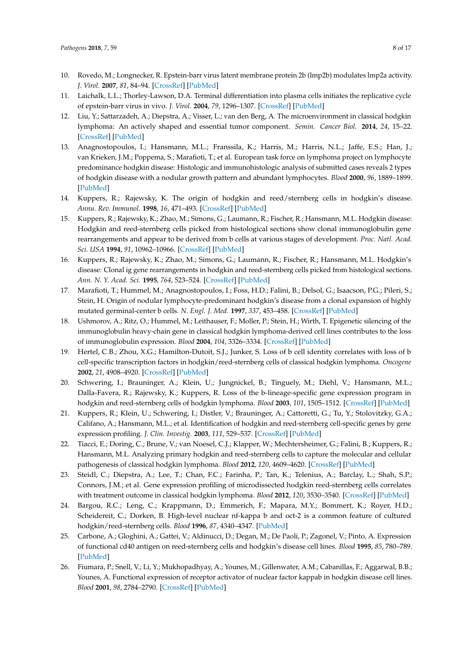- <span id="page-7-0"></span>10. Rovedo, M.; Longnecker, R. Epstein-barr virus latent membrane protein 2b (lmp2b) modulates lmp2a activity. *J. Virol.* **2007**, *81*, 84–94. [\[CrossRef\]](http://dx.doi.org/10.1128/JVI.01302-06) [\[PubMed\]](http://www.ncbi.nlm.nih.gov/pubmed/17035319)
- <span id="page-7-1"></span>11. Laichalk, L.L.; Thorley-Lawson, D.A. Terminal differentiation into plasma cells initiates the replicative cycle of epstein-barr virus in vivo. *J. Virol.* **2004**, *79*, 1296–1307. [\[CrossRef\]](http://dx.doi.org/10.1128/JVI.79.2.1296-1307.2005) [\[PubMed\]](http://www.ncbi.nlm.nih.gov/pubmed/15613356)
- <span id="page-7-2"></span>12. Liu, Y.; Sattarzadeh, A.; Diepstra, A.; Visser, L.; van den Berg, A. The microenvironment in classical hodgkin lymphoma: An actively shaped and essential tumor component. *Semin. Cancer Biol.* **2014**, *24*, 15–22. [\[CrossRef\]](http://dx.doi.org/10.1016/j.semcancer.2013.07.002) [\[PubMed\]](http://www.ncbi.nlm.nih.gov/pubmed/23867303)
- <span id="page-7-3"></span>13. Anagnostopoulos, I.; Hansmann, M.L.; Franssila, K.; Harris, M.; Harris, N.L.; Jaffe, E.S.; Han, J.; van Krieken, J.M.; Poppema, S.; Marafioti, T.; et al. European task force on lymphoma project on lymphocyte predominance hodgkin disease: Histologic and immunohistologic analysis of submitted cases reveals 2 types of hodgkin disease with a nodular growth pattern and abundant lymphocytes. *Blood* **2000**, *96*, 1889–1899. [\[PubMed\]](http://www.ncbi.nlm.nih.gov/pubmed/10961891)
- <span id="page-7-4"></span>14. Kuppers, R.; Rajewsky, K. The origin of hodgkin and reed/sternberg cells in hodgkin's disease. *Annu. Rev. Immunol.* **1998**, *16*, 471–493. [\[CrossRef\]](http://dx.doi.org/10.1146/annurev.immunol.16.1.471) [\[PubMed\]](http://www.ncbi.nlm.nih.gov/pubmed/9597138)
- <span id="page-7-6"></span>15. Kuppers, R.; Rajewsky, K.; Zhao, M.; Simons, G.; Laumann, R.; Fischer, R.; Hansmann, M.L. Hodgkin disease: Hodgkin and reed-sternberg cells picked from histological sections show clonal immunoglobulin gene rearrangements and appear to be derived from b cells at various stages of development. *Proc. Natl. Acad. Sci. USA* **1994**, *91*, 10962–10966. [\[CrossRef\]](http://dx.doi.org/10.1073/pnas.91.23.10962) [\[PubMed\]](http://www.ncbi.nlm.nih.gov/pubmed/7971992)
- <span id="page-7-5"></span>16. Kuppers, R.; Rajewsky, K.; Zhao, M.; Simons, G.; Laumann, R.; Fischer, R.; Hansmann, M.L. Hodgkin's disease: Clonal ig gene rearrangements in hodgkin and reed-sternberg cells picked from histological sections. *Ann. N. Y. Acad. Sci.* **1995**, *764*, 523–524. [\[CrossRef\]](http://dx.doi.org/10.1111/j.1749-6632.1995.tb55877.x) [\[PubMed\]](http://www.ncbi.nlm.nih.gov/pubmed/7486580)
- <span id="page-7-7"></span>17. Marafioti, T.; Hummel, M.; Anagnostopoulos, I.; Foss, H.D.; Falini, B.; Delsol, G.; Isaacson, P.G.; Pileri, S.; Stein, H. Origin of nodular lymphocyte-predominant hodgkin's disease from a clonal expansion of highly mutated germinal-center b cells. *N. Engl. J. Med.* **1997**, *337*, 453–458. [\[CrossRef\]](http://dx.doi.org/10.1056/NEJM199708143370703) [\[PubMed\]](http://www.ncbi.nlm.nih.gov/pubmed/9250847)
- <span id="page-7-8"></span>18. Ushmorov, A.; Ritz, O.; Hummel, M.; Leithauser, F.; Moller, P.; Stein, H.; Wirth, T. Epigenetic silencing of the immunoglobulin heavy-chain gene in classical hodgkin lymphoma-derived cell lines contributes to the loss of immunoglobulin expression. *Blood* **2004**, *104*, 3326–3334. [\[CrossRef\]](http://dx.doi.org/10.1182/blood-2003-04-1197) [\[PubMed\]](http://www.ncbi.nlm.nih.gov/pubmed/15284123)
- 19. Hertel, C.B.; Zhou, X.G.; Hamilton-Dutoit, S.J.; Junker, S. Loss of b cell identity correlates with loss of b cell-specific transcription factors in hodgkin/reed-sternberg cells of classical hodgkin lymphoma. *Oncogene* **2002**, *21*, 4908–4920. [\[CrossRef\]](http://dx.doi.org/10.1038/sj.onc.1205629) [\[PubMed\]](http://www.ncbi.nlm.nih.gov/pubmed/12118370)
- 20. Schwering, I.; Brauninger, A.; Klein, U.; Jungnickel, B.; Tinguely, M.; Diehl, V.; Hansmann, M.L.; Dalla-Favera, R.; Rajewsky, K.; Kuppers, R. Loss of the b-lineage-specific gene expression program in hodgkin and reed-sternberg cells of hodgkin lymphoma. *Blood* **2003**, *101*, 1505–1512. [\[CrossRef\]](http://dx.doi.org/10.1182/blood-2002-03-0839) [\[PubMed\]](http://www.ncbi.nlm.nih.gov/pubmed/12393731)
- 21. Kuppers, R.; Klein, U.; Schwering, I.; Distler, V.; Brauninger, A.; Cattoretti, G.; Tu, Y.; Stolovitzky, G.A.; Califano, A.; Hansmann, M.L.; et al. Identification of hodgkin and reed-sternberg cell-specific genes by gene expression profiling. *J. Clin. Investig.* **2003**, *111*, 529–537. [\[CrossRef\]](http://dx.doi.org/10.1172/JCI200316624) [\[PubMed\]](http://www.ncbi.nlm.nih.gov/pubmed/12588891)
- <span id="page-7-10"></span>22. Tiacci, E.; Doring, C.; Brune, V.; van Noesel, C.J.; Klapper, W.; Mechtersheimer, G.; Falini, B.; Kuppers, R.; Hansmann, M.L. Analyzing primary hodgkin and reed-sternberg cells to capture the molecular and cellular pathogenesis of classical hodgkin lymphoma. *Blood* **2012**, *120*, 4609–4620. [\[CrossRef\]](http://dx.doi.org/10.1182/blood-2012-05-428896) [\[PubMed\]](http://www.ncbi.nlm.nih.gov/pubmed/22955914)
- <span id="page-7-9"></span>23. Steidl, C.; Diepstra, A.; Lee, T.; Chan, F.C.; Farinha, P.; Tan, K.; Telenius, A.; Barclay, L.; Shah, S.P.; Connors, J.M.; et al. Gene expression profiling of microdissected hodgkin reed-sternberg cells correlates with treatment outcome in classical hodgkin lymphoma. *Blood* **2012**, *120*, 3530–3540. [\[CrossRef\]](http://dx.doi.org/10.1182/blood-2012-06-439570) [\[PubMed\]](http://www.ncbi.nlm.nih.gov/pubmed/22955918)
- <span id="page-7-11"></span>24. Bargou, R.C.; Leng, C.; Krappmann, D.; Emmerich, F.; Mapara, M.Y.; Bommert, K.; Royer, H.D.; Scheidereit, C.; Dorken, B. High-level nuclear nf-kappa b and oct-2 is a common feature of cultured hodgkin/reed-sternberg cells. *Blood* **1996**, *87*, 4340–4347. [\[PubMed\]](http://www.ncbi.nlm.nih.gov/pubmed/8639794)
- <span id="page-7-12"></span>25. Carbone, A.; Gloghini, A.; Gattei, V.; Aldinucci, D.; Degan, M.; De Paoli, P.; Zagonel, V.; Pinto, A. Expression of functional cd40 antigen on reed-sternberg cells and hodgkin's disease cell lines. *Blood* **1995**, *85*, 780–789. [\[PubMed\]](http://www.ncbi.nlm.nih.gov/pubmed/7530508)
- 26. Fiumara, P.; Snell, V.; Li, Y.; Mukhopadhyay, A.; Younes, M.; Gillenwater, A.M.; Cabanillas, F.; Aggarwal, B.B.; Younes, A. Functional expression of receptor activator of nuclear factor kappab in hodgkin disease cell lines. *Blood* **2001**, *98*, 2784–2790. [\[CrossRef\]](http://dx.doi.org/10.1182/blood.V98.9.2784) [\[PubMed\]](http://www.ncbi.nlm.nih.gov/pubmed/11675352)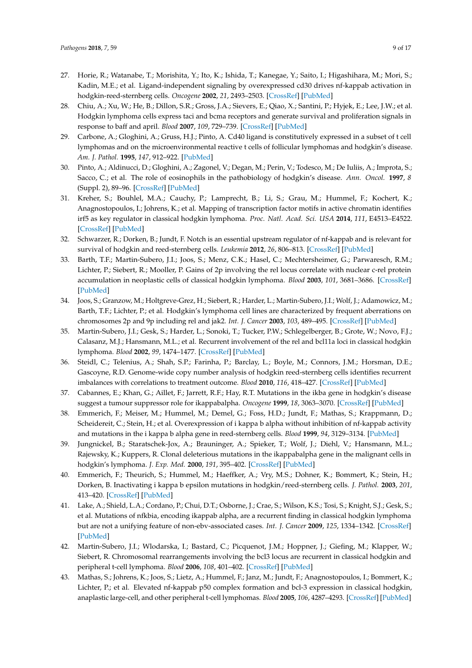- 27. Horie, R.; Watanabe, T.; Morishita, Y.; Ito, K.; Ishida, T.; Kanegae, Y.; Saito, I.; Higashihara, M.; Mori, S.; Kadin, M.E.; et al. Ligand-independent signaling by overexpressed cd30 drives nf-kappab activation in hodgkin-reed-sternberg cells. *Oncogene* **2002**, *21*, 2493–2503. [\[CrossRef\]](http://dx.doi.org/10.1038/sj.onc.1205337) [\[PubMed\]](http://www.ncbi.nlm.nih.gov/pubmed/11971184)
- <span id="page-8-1"></span>28. Chiu, A.; Xu, W.; He, B.; Dillon, S.R.; Gross, J.A.; Sievers, E.; Qiao, X.; Santini, P.; Hyjek, E.; Lee, J.W.; et al. Hodgkin lymphoma cells express taci and bcma receptors and generate survival and proliferation signals in response to baff and april. *Blood* **2007**, *109*, 729–739. [\[CrossRef\]](http://dx.doi.org/10.1182/blood-2006-04-015958) [\[PubMed\]](http://www.ncbi.nlm.nih.gov/pubmed/16960154)
- <span id="page-8-2"></span>29. Carbone, A.; Gloghini, A.; Gruss, H.J.; Pinto, A. Cd40 ligand is constitutively expressed in a subset of t cell lymphomas and on the microenvironmental reactive t cells of follicular lymphomas and hodgkin's disease. *Am. J. Pathol.* **1995**, *147*, 912–922. [\[PubMed\]](http://www.ncbi.nlm.nih.gov/pubmed/7573367)
- <span id="page-8-3"></span>30. Pinto, A.; Aldinucci, D.; Gloghini, A.; Zagonel, V.; Degan, M.; Perin, V.; Todesco, M.; De Iuliis, A.; Improta, S.; Sacco, C.; et al. The role of eosinophils in the pathobiology of hodgkin's disease. *Ann. Oncol.* **1997**, *8* (Suppl. 2), 89–96. [\[CrossRef\]](http://dx.doi.org/10.1093/annonc/8.suppl_2.S89) [\[PubMed\]](http://www.ncbi.nlm.nih.gov/pubmed/9209649)
- <span id="page-8-4"></span>31. Kreher, S.; Bouhlel, M.A.; Cauchy, P.; Lamprecht, B.; Li, S.; Grau, M.; Hummel, F.; Kochert, K.; Anagnostopoulos, I.; Johrens, K.; et al. Mapping of transcription factor motifs in active chromatin identifies irf5 as key regulator in classical hodgkin lymphoma. *Proc. Natl. Acad. Sci. USA* **2014**, *111*, E4513–E4522. [\[CrossRef\]](http://dx.doi.org/10.1073/pnas.1406985111) [\[PubMed\]](http://www.ncbi.nlm.nih.gov/pubmed/25288773)
- <span id="page-8-5"></span>32. Schwarzer, R.; Dorken, B.; Jundt, F. Notch is an essential upstream regulator of nf-kappab and is relevant for survival of hodgkin and reed-sternberg cells. *Leukemia* **2012**, *26*, 806–813. [\[CrossRef\]](http://dx.doi.org/10.1038/leu.2011.265) [\[PubMed\]](http://www.ncbi.nlm.nih.gov/pubmed/21946908)
- <span id="page-8-6"></span>33. Barth, T.F.; Martin-Subero, J.I.; Joos, S.; Menz, C.K.; Hasel, C.; Mechtersheimer, G.; Parwaresch, R.M.; Lichter, P.; Siebert, R.; Mooller, P. Gains of 2p involving the rel locus correlate with nuclear c-rel protein accumulation in neoplastic cells of classical hodgkin lymphoma. *Blood* **2003**, *101*, 3681–3686. [\[CrossRef\]](http://dx.doi.org/10.1182/blood-2002-08-2577) [\[PubMed\]](http://www.ncbi.nlm.nih.gov/pubmed/12511414)
- 34. Joos, S.; Granzow, M.; Holtgreve-Grez, H.; Siebert, R.; Harder, L.; Martin-Subero, J.I.; Wolf, J.; Adamowicz, M.; Barth, T.F.; Lichter, P.; et al. Hodgkin's lymphoma cell lines are characterized by frequent aberrations on chromosomes 2p and 9p including rel and jak2. *Int. J. Cancer* **2003**, *103*, 489–495. [\[CrossRef\]](http://dx.doi.org/10.1002/ijc.10845) [\[PubMed\]](http://www.ncbi.nlm.nih.gov/pubmed/12478664)
- <span id="page-8-0"></span>35. Martin-Subero, J.I.; Gesk, S.; Harder, L.; Sonoki, T.; Tucker, P.W.; Schlegelberger, B.; Grote, W.; Novo, F.J.; Calasanz, M.J.; Hansmann, M.L.; et al. Recurrent involvement of the rel and bcl11a loci in classical hodgkin lymphoma. *Blood* **2002**, *99*, 1474–1477. [\[CrossRef\]](http://dx.doi.org/10.1182/blood.V99.4.1474) [\[PubMed\]](http://www.ncbi.nlm.nih.gov/pubmed/11830502)
- <span id="page-8-7"></span>36. Steidl, C.; Telenius, A.; Shah, S.P.; Farinha, P.; Barclay, L.; Boyle, M.; Connors, J.M.; Horsman, D.E.; Gascoyne, R.D. Genome-wide copy number analysis of hodgkin reed-sternberg cells identifies recurrent imbalances with correlations to treatment outcome. *Blood* **2010**, *116*, 418–427. [\[CrossRef\]](http://dx.doi.org/10.1182/blood-2009-12-257345) [\[PubMed\]](http://www.ncbi.nlm.nih.gov/pubmed/20339089)
- <span id="page-8-8"></span>37. Cabannes, E.; Khan, G.; Aillet, F.; Jarrett, R.F.; Hay, R.T. Mutations in the ikba gene in hodgkin's disease suggest a tumour suppressor role for ikappabalpha. *Oncogene* **1999**, *18*, 3063–3070. [\[CrossRef\]](http://dx.doi.org/10.1038/sj.onc.1202893) [\[PubMed\]](http://www.ncbi.nlm.nih.gov/pubmed/10340377)
- 38. Emmerich, F.; Meiser, M.; Hummel, M.; Demel, G.; Foss, H.D.; Jundt, F.; Mathas, S.; Krappmann, D.; Scheidereit, C.; Stein, H.; et al. Overexpression of i kappa b alpha without inhibition of nf-kappab activity and mutations in the i kappa b alpha gene in reed-sternberg cells. *Blood* **1999**, *94*, 3129–3134. [\[PubMed\]](http://www.ncbi.nlm.nih.gov/pubmed/10556199)
- 39. Jungnickel, B.; Staratschek-Jox, A.; Brauninger, A.; Spieker, T.; Wolf, J.; Diehl, V.; Hansmann, M.L.; Rajewsky, K.; Kuppers, R. Clonal deleterious mutations in the ikappabalpha gene in the malignant cells in hodgkin's lymphoma. *J. Exp. Med.* **2000**, *191*, 395–402. [\[CrossRef\]](http://dx.doi.org/10.1084/jem.191.2.395) [\[PubMed\]](http://www.ncbi.nlm.nih.gov/pubmed/10637284)
- 40. Emmerich, F.; Theurich, S.; Hummel, M.; Haeffker, A.; Vry, M.S.; Dohner, K.; Bommert, K.; Stein, H.; Dorken, B. Inactivating i kappa b epsilon mutations in hodgkin/reed-sternberg cells. *J. Pathol.* **2003**, *201*, 413–420. [\[CrossRef\]](http://dx.doi.org/10.1002/path.1454) [\[PubMed\]](http://www.ncbi.nlm.nih.gov/pubmed/14595753)
- <span id="page-8-9"></span>41. Lake, A.; Shield, L.A.; Cordano, P.; Chui, D.T.; Osborne, J.; Crae, S.; Wilson, K.S.; Tosi, S.; Knight, S.J.; Gesk, S.; et al. Mutations of nfkbia, encoding ikappab alpha, are a recurrent finding in classical hodgkin lymphoma but are not a unifying feature of non-ebv-associated cases. *Int. J. Cancer* **2009**, *125*, 1334–1342. [\[CrossRef\]](http://dx.doi.org/10.1002/ijc.24502) [\[PubMed\]](http://www.ncbi.nlm.nih.gov/pubmed/19507254)
- <span id="page-8-10"></span>42. Martin-Subero, J.I.; Wlodarska, I.; Bastard, C.; Picquenot, J.M.; Hoppner, J.; Giefing, M.; Klapper, W.; Siebert, R. Chromosomal rearrangements involving the bcl3 locus are recurrent in classical hodgkin and peripheral t-cell lymphoma. *Blood* **2006**, *108*, 401–402. [\[CrossRef\]](http://dx.doi.org/10.1182/blood-2005-09-3843) [\[PubMed\]](http://www.ncbi.nlm.nih.gov/pubmed/16790585)
- <span id="page-8-11"></span>43. Mathas, S.; Johrens, K.; Joos, S.; Lietz, A.; Hummel, F.; Janz, M.; Jundt, F.; Anagnostopoulos, I.; Bommert, K.; Lichter, P.; et al. Elevated nf-kappab p50 complex formation and bcl-3 expression in classical hodgkin, anaplastic large-cell, and other peripheral t-cell lymphomas. *Blood* **2005**, *106*, 4287–4293. [\[CrossRef\]](http://dx.doi.org/10.1182/blood-2004-09-3620) [\[PubMed\]](http://www.ncbi.nlm.nih.gov/pubmed/16123212)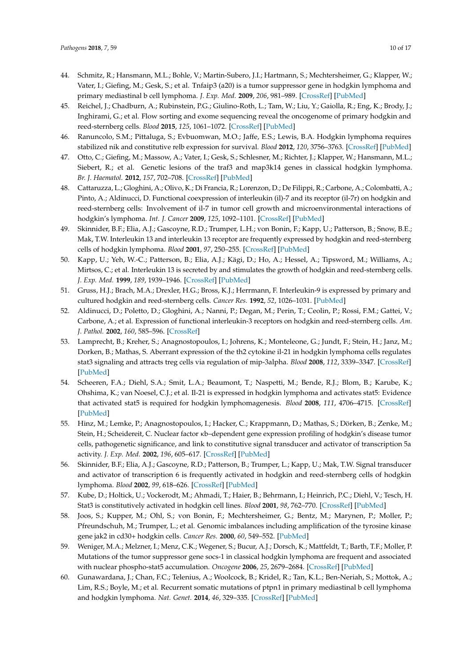- <span id="page-9-0"></span>44. Schmitz, R.; Hansmann, M.L.; Bohle, V.; Martin-Subero, J.I.; Hartmann, S.; Mechtersheimer, G.; Klapper, W.; Vater, I.; Giefing, M.; Gesk, S.; et al. Tnfaip3 (a20) is a tumor suppressor gene in hodgkin lymphoma and primary mediastinal b cell lymphoma. *J. Exp. Med.* **2009**, *206*, 981–989. [\[CrossRef\]](http://dx.doi.org/10.1084/jem.20090528) [\[PubMed\]](http://www.ncbi.nlm.nih.gov/pubmed/19380639)
- <span id="page-9-1"></span>45. Reichel, J.; Chadburn, A.; Rubinstein, P.G.; Giulino-Roth, L.; Tam, W.; Liu, Y.; Gaiolla, R.; Eng, K.; Brody, J.; Inghirami, G.; et al. Flow sorting and exome sequencing reveal the oncogenome of primary hodgkin and reed-sternberg cells. *Blood* **2015**, *125*, 1061–1072. [\[CrossRef\]](http://dx.doi.org/10.1182/blood-2014-11-610436) [\[PubMed\]](http://www.ncbi.nlm.nih.gov/pubmed/25488972)
- <span id="page-9-2"></span>46. Ranuncolo, S.M.; Pittaluga, S.; Evbuomwan, M.O.; Jaffe, E.S.; Lewis, B.A. Hodgkin lymphoma requires stabilized nik and constitutive relb expression for survival. *Blood* **2012**, *120*, 3756–3763. [\[CrossRef\]](http://dx.doi.org/10.1182/blood-2012-01-405951) [\[PubMed\]](http://www.ncbi.nlm.nih.gov/pubmed/22968463)
- <span id="page-9-3"></span>47. Otto, C.; Giefing, M.; Massow, A.; Vater, I.; Gesk, S.; Schlesner, M.; Richter, J.; Klapper, W.; Hansmann, M.L.; Siebert, R.; et al. Genetic lesions of the traf3 and map3k14 genes in classical hodgkin lymphoma. *Br. J. Haematol.* **2012**, *157*, 702–708. [\[CrossRef\]](http://dx.doi.org/10.1111/j.1365-2141.2012.09113.x) [\[PubMed\]](http://www.ncbi.nlm.nih.gov/pubmed/22469134)
- <span id="page-9-4"></span>48. Cattaruzza, L.; Gloghini, A.; Olivo, K.; Di Francia, R.; Lorenzon, D.; De Filippi, R.; Carbone, A.; Colombatti, A.; Pinto, A.; Aldinucci, D. Functional coexpression of interleukin (il)-7 and its receptor (il-7r) on hodgkin and reed-sternberg cells: Involvement of il-7 in tumor cell growth and microenvironmental interactions of hodgkin's lymphoma. *Int. J. Cancer* **2009**, *125*, 1092–1101. [\[CrossRef\]](http://dx.doi.org/10.1002/ijc.24389) [\[PubMed\]](http://www.ncbi.nlm.nih.gov/pubmed/19391137)
- 49. Skinnider, B.F.; Elia, A.J.; Gascoyne, R.D.; Trumper, L.H.; von Bonin, F.; Kapp, U.; Patterson, B.; Snow, B.E.; Mak, T.W. Interleukin 13 and interleukin 13 receptor are frequently expressed by hodgkin and reed-sternberg cells of hodgkin lymphoma. *Blood* **2001**, *97*, 250–255. [\[CrossRef\]](http://dx.doi.org/10.1182/blood.V97.1.250) [\[PubMed\]](http://www.ncbi.nlm.nih.gov/pubmed/11133768)
- 50. Kapp, U.; Yeh, W.-C.; Patterson, B.; Elia, A.J.; Kägi, D.; Ho, A.; Hessel, A.; Tipsword, M.; Williams, A.; Mirtsos, C.; et al. Interleukin 13 is secreted by and stimulates the growth of hodgkin and reed-sternberg cells. *J. Exp. Med.* **1999**, *189*, 1939–1946. [\[CrossRef\]](http://dx.doi.org/10.1084/jem.189.12.1939) [\[PubMed\]](http://www.ncbi.nlm.nih.gov/pubmed/10377189)
- 51. Gruss, H.J.; Brach, M.A.; Drexler, H.G.; Bross, K.J.; Herrmann, F. Interleukin-9 is expressed by primary and cultured hodgkin and reed-sternberg cells. *Cancer Res.* **1992**, *52*, 1026–1031. [\[PubMed\]](http://www.ncbi.nlm.nih.gov/pubmed/1737332)
- <span id="page-9-5"></span>52. Aldinucci, D.; Poletto, D.; Gloghini, A.; Nanni, P.; Degan, M.; Perin, T.; Ceolin, P.; Rossi, F.M.; Gattei, V.; Carbone, A.; et al. Expression of functional interleukin-3 receptors on hodgkin and reed-sternberg cells. *Am. J. Pathol.* **2002**, *160*, 585–596. [\[CrossRef\]](http://dx.doi.org/10.1016/S0002-9440(10)64878-X)
- <span id="page-9-6"></span>53. Lamprecht, B.; Kreher, S.; Anagnostopoulos, I.; Johrens, K.; Monteleone, G.; Jundt, F.; Stein, H.; Janz, M.; Dorken, B.; Mathas, S. Aberrant expression of the th2 cytokine il-21 in hodgkin lymphoma cells regulates stat3 signaling and attracts treg cells via regulation of mip-3alpha. *Blood* **2008**, *112*, 3339–3347. [\[CrossRef\]](http://dx.doi.org/10.1182/blood-2008-01-134783) [\[PubMed\]](http://www.ncbi.nlm.nih.gov/pubmed/18684866)
- <span id="page-9-7"></span>54. Scheeren, F.A.; Diehl, S.A.; Smit, L.A.; Beaumont, T.; Naspetti, M.; Bende, R.J.; Blom, B.; Karube, K.; Ohshima, K.; van Noesel, C.J.; et al. Il-21 is expressed in hodgkin lymphoma and activates stat5: Evidence that activated stat5 is required for hodgkin lymphomagenesis. *Blood* **2008**, *111*, 4706–4715. [\[CrossRef\]](http://dx.doi.org/10.1182/blood-2007-08-105643) [\[PubMed\]](http://www.ncbi.nlm.nih.gov/pubmed/18296629)
- 55. Hinz, M.; Lemke, P.; Anagnostopoulos, I.; Hacker, C.; Krappmann, D.; Mathas, S.; Dörken, B.; Zenke, M.; Stein, H.; Scheidereit, C. Nuclear factor κb–dependent gene expression profiling of hodgkin's disease tumor cells, pathogenetic significance, and link to constitutive signal transducer and activator of transcription 5a activity. *J. Exp. Med.* **2002**, *196*, 605–617. [\[CrossRef\]](http://dx.doi.org/10.1084/jem.20020062) [\[PubMed\]](http://www.ncbi.nlm.nih.gov/pubmed/12208876)
- 56. Skinnider, B.F.; Elia, A.J.; Gascoyne, R.D.; Patterson, B.; Trumper, L.; Kapp, U.; Mak, T.W. Signal transducer and activator of transcription 6 is frequently activated in hodgkin and reed-sternberg cells of hodgkin lymphoma. *Blood* **2002**, *99*, 618–626. [\[CrossRef\]](http://dx.doi.org/10.1182/blood.V99.2.618) [\[PubMed\]](http://www.ncbi.nlm.nih.gov/pubmed/11781246)
- <span id="page-9-8"></span>57. Kube, D.; Holtick, U.; Vockerodt, M.; Ahmadi, T.; Haier, B.; Behrmann, I.; Heinrich, P.C.; Diehl, V.; Tesch, H. Stat3 is constitutively activated in hodgkin cell lines. *Blood* **2001**, *98*, 762–770. [\[CrossRef\]](http://dx.doi.org/10.1182/blood.V98.3.762) [\[PubMed\]](http://www.ncbi.nlm.nih.gov/pubmed/11468177)
- <span id="page-9-9"></span>58. Joos, S.; Kupper, M.; Ohl, S.; von Bonin, F.; Mechtersheimer, G.; Bentz, M.; Marynen, P.; Moller, P.; Pfreundschuh, M.; Trumper, L.; et al. Genomic imbalances including amplification of the tyrosine kinase gene jak2 in cd30+ hodgkin cells. *Cancer Res.* **2000**, *60*, 549–552. [\[PubMed\]](http://www.ncbi.nlm.nih.gov/pubmed/10676635)
- 59. Weniger, M.A.; Melzner, I.; Menz, C.K.; Wegener, S.; Bucur, A.J.; Dorsch, K.; Mattfeldt, T.; Barth, T.F.; Moller, P. Mutations of the tumor suppressor gene socs-1 in classical hodgkin lymphoma are frequent and associated with nuclear phospho-stat5 accumulation. *Oncogene* **2006**, *25*, 2679–2684. [\[CrossRef\]](http://dx.doi.org/10.1038/sj.onc.1209151) [\[PubMed\]](http://www.ncbi.nlm.nih.gov/pubmed/16532038)
- 60. Gunawardana, J.; Chan, F.C.; Telenius, A.; Woolcock, B.; Kridel, R.; Tan, K.L.; Ben-Neriah, S.; Mottok, A.; Lim, R.S.; Boyle, M.; et al. Recurrent somatic mutations of ptpn1 in primary mediastinal b cell lymphoma and hodgkin lymphoma. *Nat. Genet.* **2014**, *46*, 329–335. [\[CrossRef\]](http://dx.doi.org/10.1038/ng.2900) [\[PubMed\]](http://www.ncbi.nlm.nih.gov/pubmed/24531327)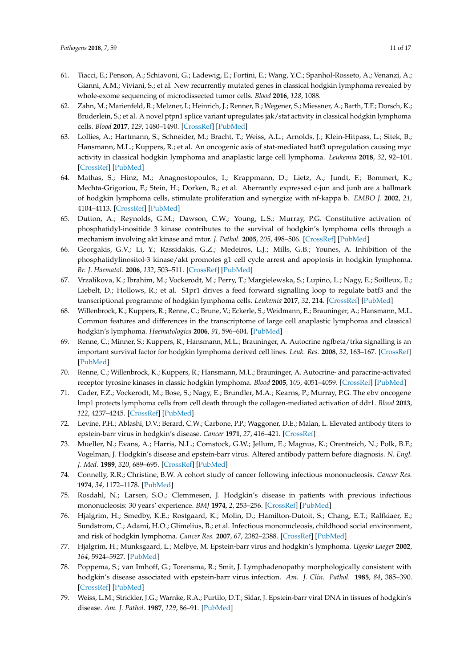- 61. Tiacci, E.; Penson, A.; Schiavoni, G.; Ladewig, E.; Fortini, E.; Wang, Y.C.; Spanhol-Rosseto, A.; Venanzi, A.; Gianni, A.M.; Viviani, S.; et al. New recurrently mutated genes in classical hodgkin lymphoma revealed by whole-exome sequencing of microdissected tumor cells. *Blood* **2016**, *128*, 1088.
- <span id="page-10-0"></span>62. Zahn, M.; Marienfeld, R.; Melzner, I.; Heinrich, J.; Renner, B.; Wegener, S.; Miessner, A.; Barth, T.F.; Dorsch, K.; Bruderlein, S.; et al. A novel ptpn1 splice variant upregulates jak/stat activity in classical hodgkin lymphoma cells. *Blood* **2017**, *129*, 1480–1490. [\[CrossRef\]](http://dx.doi.org/10.1182/blood-2016-06-720516) [\[PubMed\]](http://www.ncbi.nlm.nih.gov/pubmed/28082443)
- <span id="page-10-1"></span>63. Lollies, A.; Hartmann, S.; Schneider, M.; Bracht, T.; Weiss, A.L.; Arnolds, J.; Klein-Hitpass, L.; Sitek, B.; Hansmann, M.L.; Kuppers, R.; et al. An oncogenic axis of stat-mediated batf3 upregulation causing myc activity in classical hodgkin lymphoma and anaplastic large cell lymphoma. *Leukemia* **2018**, *32*, 92–101. [\[CrossRef\]](http://dx.doi.org/10.1038/leu.2017.203) [\[PubMed\]](http://www.ncbi.nlm.nih.gov/pubmed/28659618)
- <span id="page-10-2"></span>64. Mathas, S.; Hinz, M.; Anagnostopoulos, I.; Krappmann, D.; Lietz, A.; Jundt, F.; Bommert, K.; Mechta-Grigoriou, F.; Stein, H.; Dorken, B.; et al. Aberrantly expressed c-jun and junb are a hallmark of hodgkin lymphoma cells, stimulate proliferation and synergize with nf-kappa b. *EMBO J.* **2002**, *21*, 4104–4113. [\[CrossRef\]](http://dx.doi.org/10.1093/emboj/cdf389) [\[PubMed\]](http://www.ncbi.nlm.nih.gov/pubmed/12145210)
- <span id="page-10-3"></span>65. Dutton, A.; Reynolds, G.M.; Dawson, C.W.; Young, L.S.; Murray, P.G. Constitutive activation of phosphatidyl-inositide 3 kinase contributes to the survival of hodgkin's lymphoma cells through a mechanism involving akt kinase and mtor. *J. Pathol.* **2005**, *205*, 498–506. [\[CrossRef\]](http://dx.doi.org/10.1002/path.1725) [\[PubMed\]](http://www.ncbi.nlm.nih.gov/pubmed/15714459)
- <span id="page-10-4"></span>66. Georgakis, G.V.; Li, Y.; Rassidakis, G.Z.; Medeiros, L.J.; Mills, G.B.; Younes, A. Inhibition of the phosphatidylinositol-3 kinase/akt promotes g1 cell cycle arrest and apoptosis in hodgkin lymphoma. *Br. J. Haematol.* **2006**, *132*, 503–511. [\[CrossRef\]](http://dx.doi.org/10.1111/j.1365-2141.2005.05881.x) [\[PubMed\]](http://www.ncbi.nlm.nih.gov/pubmed/16412023)
- <span id="page-10-5"></span>67. Vrzalikova, K.; Ibrahim, M.; Vockerodt, M.; Perry, T.; Margielewska, S.; Lupino, L.; Nagy, E.; Soilleux, E.; Liebelt, D.; Hollows, R.; et al. S1pr1 drives a feed forward signalling loop to regulate batf3 and the transcriptional programme of hodgkin lymphoma cells. *Leukemia* **2017**, *32*, 214. [\[CrossRef\]](http://dx.doi.org/10.1038/leu.2017.275) [\[PubMed\]](http://www.ncbi.nlm.nih.gov/pubmed/28878352)
- <span id="page-10-6"></span>68. Willenbrock, K.; Kuppers, R.; Renne, C.; Brune, V.; Eckerle, S.; Weidmann, E.; Brauninger, A.; Hansmann, M.L. Common features and differences in the transcriptome of large cell anaplastic lymphoma and classical hodgkin's lymphoma. *Haematologica* **2006**, *91*, 596–604. [\[PubMed\]](http://www.ncbi.nlm.nih.gov/pubmed/16670065)
- 69. Renne, C.; Minner, S.; Kuppers, R.; Hansmann, M.L.; Brauninger, A. Autocrine ngfbeta/trka signalling is an important survival factor for hodgkin lymphoma derived cell lines. *Leuk. Res.* **2008**, *32*, 163–167. [\[CrossRef\]](http://dx.doi.org/10.1016/j.leukres.2007.05.019) [\[PubMed\]](http://www.ncbi.nlm.nih.gov/pubmed/17673289)
- <span id="page-10-7"></span>70. Renne, C.; Willenbrock, K.; Kuppers, R.; Hansmann, M.L.; Brauninger, A. Autocrine- and paracrine-activated receptor tyrosine kinases in classic hodgkin lymphoma. *Blood* **2005**, *105*, 4051–4059. [\[CrossRef\]](http://dx.doi.org/10.1182/blood-2004-10-4008) [\[PubMed\]](http://www.ncbi.nlm.nih.gov/pubmed/15677564)
- <span id="page-10-8"></span>71. Cader, F.Z.; Vockerodt, M.; Bose, S.; Nagy, E.; Brundler, M.A.; Kearns, P.; Murray, P.G. The ebv oncogene lmp1 protects lymphoma cells from cell death through the collagen-mediated activation of ddr1. *Blood* **2013**, *122*, 4237–4245. [\[CrossRef\]](http://dx.doi.org/10.1182/blood-2013-04-499004) [\[PubMed\]](http://www.ncbi.nlm.nih.gov/pubmed/24136166)
- <span id="page-10-9"></span>72. Levine, P.H.; Ablashi, D.V.; Berard, C.W.; Carbone, P.P.; Waggoner, D.E.; Malan, L. Elevated antibody titers to epstein-barr virus in hodgkin's disease. *Cancer* **1971**, *27*, 416–421. [\[CrossRef\]](http://dx.doi.org/10.1002/1097-0142(197102)27:2<416::AID-CNCR2820270227>3.0.CO;2-W)
- <span id="page-10-10"></span>73. Mueller, N.; Evans, A.; Harris, N.L.; Comstock, G.W.; Jellum, E.; Magnus, K.; Orentreich, N.; Polk, B.F.; Vogelman, J. Hodgkin's disease and epstein-barr virus. Altered antibody pattern before diagnosis. *N. Engl. J. Med.* **1989**, *320*, 689–695. [\[CrossRef\]](http://dx.doi.org/10.1056/NEJM198903163201103) [\[PubMed\]](http://www.ncbi.nlm.nih.gov/pubmed/2537928)
- <span id="page-10-11"></span>74. Connelly, R.R.; Christine, B.W. A cohort study of cancer following infectious mononucleosis. *Cancer Res.* **1974**, *34*, 1172–1178. [\[PubMed\]](http://www.ncbi.nlm.nih.gov/pubmed/4842360)
- 75. Rosdahl, N.; Larsen, S.O.; Clemmesen, J. Hodgkin's disease in patients with previous infectious mononucleosis: 30 years' experience. *BMJ* **1974**, *2*, 253–256. [\[CrossRef\]](http://dx.doi.org/10.1136/bmj.2.5913.253) [\[PubMed\]](http://www.ncbi.nlm.nih.gov/pubmed/4406463)
- 76. Hjalgrim, H.; Smedby, K.E.; Rostgaard, K.; Molin, D.; Hamilton-Dutoit, S.; Chang, E.T.; Ralfkiaer, E.; Sundstrom, C.; Adami, H.O.; Glimelius, B.; et al. Infectious mononucleosis, childhood social environment, and risk of hodgkin lymphoma. *Cancer Res.* **2007**, *67*, 2382–2388. [\[CrossRef\]](http://dx.doi.org/10.1158/0008-5472.CAN-06-3566) [\[PubMed\]](http://www.ncbi.nlm.nih.gov/pubmed/17332371)
- <span id="page-10-12"></span>77. Hjalgrim, H.; Munksgaard, L.; Melbye, M. Epstein-barr virus and hodgkin's lymphoma. *Ugeskr Laeger* **2002**, *164*, 5924–5927. [\[PubMed\]](http://www.ncbi.nlm.nih.gov/pubmed/12553111)
- <span id="page-10-13"></span>78. Poppema, S.; van Imhoff, G.; Torensma, R.; Smit, J. Lymphadenopathy morphologically consistent with hodgkin's disease associated with epstein-barr virus infection. *Am. J. Clin. Pathol.* **1985**, *84*, 385–390. [\[CrossRef\]](http://dx.doi.org/10.1093/ajcp/84.3.385) [\[PubMed\]](http://www.ncbi.nlm.nih.gov/pubmed/2994459)
- <span id="page-10-14"></span>79. Weiss, L.M.; Strickler, J.G.; Warnke, R.A.; Purtilo, D.T.; Sklar, J. Epstein-barr viral DNA in tissues of hodgkin's disease. *Am. J. Pathol.* **1987**, *129*, 86–91. [\[PubMed\]](http://www.ncbi.nlm.nih.gov/pubmed/2821817)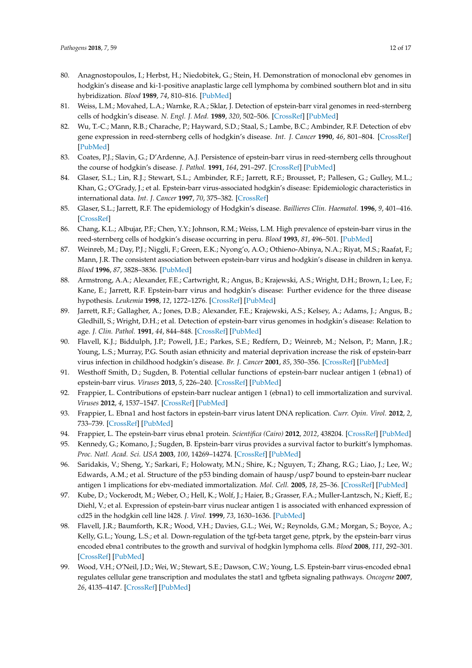- <span id="page-11-0"></span>80. Anagnostopoulos, I.; Herbst, H.; Niedobitek, G.; Stein, H. Demonstration of monoclonal ebv genomes in hodgkin's disease and ki-1-positive anaplastic large cell lymphoma by combined southern blot and in situ hybridization. *Blood* **1989**, *74*, 810–816. [\[PubMed\]](http://www.ncbi.nlm.nih.gov/pubmed/2546633)
- 81. Weiss, L.M.; Movahed, L.A.; Warnke, R.A.; Sklar, J. Detection of epstein-barr viral genomes in reed-sternberg cells of hodgkin's disease. *N. Engl. J. Med.* **1989**, *320*, 502–506. [\[CrossRef\]](http://dx.doi.org/10.1056/NEJM198902233200806) [\[PubMed\]](http://www.ncbi.nlm.nih.gov/pubmed/2536894)
- <span id="page-11-1"></span>82. Wu, T.-C.; Mann, R.B.; Charache, P.; Hayward, S.D.; Staal, S.; Lambe, B.C.; Ambinder, R.F. Detection of ebv gene expression in reed-sternberg cells of hodgkin's disease. *Int. J. Cancer* **1990**, *46*, 801–804. [\[CrossRef\]](http://dx.doi.org/10.1002/ijc.2910460509) [\[PubMed\]](http://www.ncbi.nlm.nih.gov/pubmed/2172169)
- <span id="page-11-2"></span>83. Coates, P.J.; Slavin, G.; D'Ardenne, A.J. Persistence of epstein-barr virus in reed-sternberg cells throughout the course of hodgkin's disease. *J. Pathol.* **1991**, *164*, 291–297. [\[CrossRef\]](http://dx.doi.org/10.1002/path.1711640404) [\[PubMed\]](http://www.ncbi.nlm.nih.gov/pubmed/1656004)
- <span id="page-11-3"></span>84. Glaser, S.L.; Lin, R.J.; Stewart, S.L.; Ambinder, R.F.; Jarrett, R.F.; Brousset, P.; Pallesen, G.; Gulley, M.L.; Khan, G.; O'Grady, J.; et al. Epstein-barr virus-associated hodgkin's disease: Epidemiologic characteristics in international data. *Int. J. Cancer* **1997**, *70*, 375–382. [\[CrossRef\]](http://dx.doi.org/10.1002/(SICI)1097-0215(19970207)70:4<375::AID-IJC1>3.0.CO;2-T)
- <span id="page-11-4"></span>85. Glaser, S.L.; Jarrett, R.F. The epidemiology of Hodgkin's disease. *Baillieres Clin. Haematol.* **1996**, *9*, 401–416. [\[CrossRef\]](http://dx.doi.org/10.1016/S0950-3536(96)80018-7)
- <span id="page-11-5"></span>86. Chang, K.L.; Albujar, P.F.; Chen, Y.Y.; Johnson, R.M.; Weiss, L.M. High prevalence of epstein-barr virus in the reed-sternberg cells of hodgkin's disease occurring in peru. *Blood* **1993**, *81*, 496–501. [\[PubMed\]](http://www.ncbi.nlm.nih.gov/pubmed/8380728)
- <span id="page-11-6"></span>87. Weinreb, M.; Day, P.J.; Niggli, F.; Green, E.K.; Nyong'o, A.O.; Othieno-Abinya, N.A.; Riyat, M.S.; Raafat, F.; Mann, J.R. The consistent association between epstein-barr virus and hodgkin's disease in children in kenya. *Blood* **1996**, *87*, 3828–3836. [\[PubMed\]](http://www.ncbi.nlm.nih.gov/pubmed/8611709)
- <span id="page-11-7"></span>88. Armstrong, A.A.; Alexander, F.E.; Cartwright, R.; Angus, B.; Krajewski, A.S.; Wright, D.H.; Brown, I.; Lee, F.; Kane, E.; Jarrett, R.F. Epstein-barr virus and hodgkin's disease: Further evidence for the three disease hypothesis. *Leukemia* **1998**, *12*, 1272–1276. [\[CrossRef\]](http://dx.doi.org/10.1038/sj.leu.2401097) [\[PubMed\]](http://www.ncbi.nlm.nih.gov/pubmed/9697883)
- <span id="page-11-8"></span>89. Jarrett, R.F.; Gallagher, A.; Jones, D.B.; Alexander, F.E.; Krajewski, A.S.; Kelsey, A.; Adams, J.; Angus, B.; Gledhill, S.; Wright, D.H.; et al. Detection of epstein-barr virus genomes in hodgkin's disease: Relation to age. *J. Clin. Pathol.* **1991**, *44*, 844–848. [\[CrossRef\]](http://dx.doi.org/10.1136/jcp.44.10.844) [\[PubMed\]](http://www.ncbi.nlm.nih.gov/pubmed/1660054)
- <span id="page-11-9"></span>90. Flavell, K.J.; Biddulph, J.P.; Powell, J.E.; Parkes, S.E.; Redfern, D.; Weinreb, M.; Nelson, P.; Mann, J.R.; Young, L.S.; Murray, P.G. South asian ethnicity and material deprivation increase the risk of epstein-barr virus infection in childhood hodgkin's disease. *Br. J. Cancer* **2001**, *85*, 350–356. [\[CrossRef\]](http://dx.doi.org/10.1054/bjoc.2001.1872) [\[PubMed\]](http://www.ncbi.nlm.nih.gov/pubmed/11487264)
- <span id="page-11-10"></span>91. Westhoff Smith, D.; Sugden, B. Potential cellular functions of epstein-barr nuclear antigen 1 (ebna1) of epstein-barr virus. *Viruses* **2013**, *5*, 226–240. [\[CrossRef\]](http://dx.doi.org/10.3390/v5010226) [\[PubMed\]](http://www.ncbi.nlm.nih.gov/pubmed/23325328)
- <span id="page-11-11"></span>92. Frappier, L. Contributions of epstein-barr nuclear antigen 1 (ebna1) to cell immortalization and survival. *Viruses* **2012**, *4*, 1537–1547. [\[CrossRef\]](http://dx.doi.org/10.3390/v4091537) [\[PubMed\]](http://www.ncbi.nlm.nih.gov/pubmed/23170171)
- 93. Frappier, L. Ebna1 and host factors in epstein-barr virus latent DNA replication. *Curr. Opin. Virol.* **2012**, *2*, 733–739. [\[CrossRef\]](http://dx.doi.org/10.1016/j.coviro.2012.09.005) [\[PubMed\]](http://www.ncbi.nlm.nih.gov/pubmed/23031715)
- <span id="page-11-12"></span>94. Frappier, L. The epstein-barr virus ebna1 protein. *Scientifica (Cairo)* **2012**, *2012*, 438204. [\[CrossRef\]](http://dx.doi.org/10.6064/2012/438204) [\[PubMed\]](http://www.ncbi.nlm.nih.gov/pubmed/24278697)
- <span id="page-11-13"></span>95. Kennedy, G.; Komano, J.; Sugden, B. Epstein-barr virus provides a survival factor to burkitt's lymphomas. *Proc. Natl. Acad. Sci. USA* **2003**, *100*, 14269–14274. [\[CrossRef\]](http://dx.doi.org/10.1073/pnas.2336099100) [\[PubMed\]](http://www.ncbi.nlm.nih.gov/pubmed/14603034)
- <span id="page-11-14"></span>96. Saridakis, V.; Sheng, Y.; Sarkari, F.; Holowaty, M.N.; Shire, K.; Nguyen, T.; Zhang, R.G.; Liao, J.; Lee, W.; Edwards, A.M.; et al. Structure of the p53 binding domain of hausp/usp7 bound to epstein-barr nuclear antigen 1 implications for ebv-mediated immortalization. *Mol. Cell.* **2005**, *18*, 25–36. [\[CrossRef\]](http://dx.doi.org/10.1016/j.molcel.2005.02.029) [\[PubMed\]](http://www.ncbi.nlm.nih.gov/pubmed/15808506)
- <span id="page-11-15"></span>97. Kube, D.; Vockerodt, M.; Weber, O.; Hell, K.; Wolf, J.; Haier, B.; Grasser, F.A.; Muller-Lantzsch, N.; Kieff, E.; Diehl, V.; et al. Expression of epstein-barr virus nuclear antigen 1 is associated with enhanced expression of cd25 in the hodgkin cell line l428. *J. Virol.* **1999**, *73*, 1630–1636. [\[PubMed\]](http://www.ncbi.nlm.nih.gov/pubmed/9882370)
- <span id="page-11-16"></span>98. Flavell, J.R.; Baumforth, K.R.; Wood, V.H.; Davies, G.L.; Wei, W.; Reynolds, G.M.; Morgan, S.; Boyce, A.; Kelly, G.L.; Young, L.S.; et al. Down-regulation of the tgf-beta target gene, ptprk, by the epstein-barr virus encoded ebna1 contributes to the growth and survival of hodgkin lymphoma cells. *Blood* **2008**, *111*, 292–301. [\[CrossRef\]](http://dx.doi.org/10.1182/blood-2006-11-059881) [\[PubMed\]](http://www.ncbi.nlm.nih.gov/pubmed/17720884)
- <span id="page-11-17"></span>99. Wood, V.H.; O'Neil, J.D.; Wei, W.; Stewart, S.E.; Dawson, C.W.; Young, L.S. Epstein-barr virus-encoded ebna1 regulates cellular gene transcription and modulates the stat1 and tgfbeta signaling pathways. *Oncogene* **2007**, *26*, 4135–4147. [\[CrossRef\]](http://dx.doi.org/10.1038/sj.onc.1210496) [\[PubMed\]](http://www.ncbi.nlm.nih.gov/pubmed/17486072)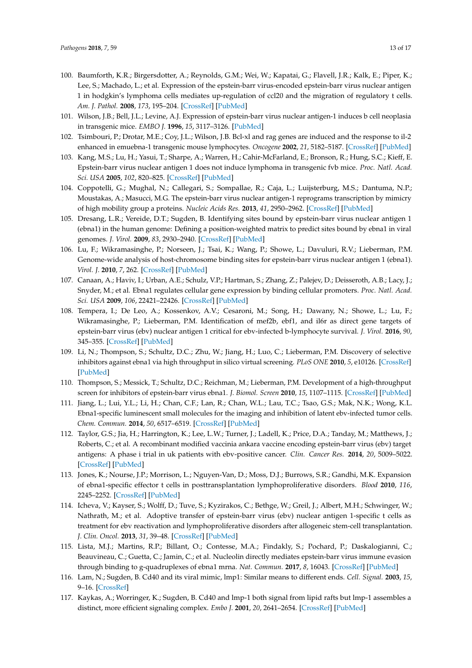- <span id="page-12-0"></span>100. Baumforth, K.R.; Birgersdotter, A.; Reynolds, G.M.; Wei, W.; Kapatai, G.; Flavell, J.R.; Kalk, E.; Piper, K.; Lee, S.; Machado, L.; et al. Expression of the epstein-barr virus-encoded epstein-barr virus nuclear antigen 1 in hodgkin's lymphoma cells mediates up-regulation of ccl20 and the migration of regulatory t cells. *Am. J. Pathol.* **2008**, *173*, 195–204. [\[CrossRef\]](http://dx.doi.org/10.2353/ajpath.2008.070845) [\[PubMed\]](http://www.ncbi.nlm.nih.gov/pubmed/18502823)
- <span id="page-12-1"></span>101. Wilson, J.B.; Bell, J.L.; Levine, A.J. Expression of epstein-barr virus nuclear antigen-1 induces b cell neoplasia in transgenic mice. *EMBO J.* **1996**, *15*, 3117–3126. [\[PubMed\]](http://www.ncbi.nlm.nih.gov/pubmed/8670812)
- <span id="page-12-2"></span>102. Tsimbouri, P.; Drotar, M.E.; Coy, J.L.; Wilson, J.B. Bcl-xl and rag genes are induced and the response to il-2 enhanced in emuebna-1 transgenic mouse lymphocytes. *Oncogene* **2002**, *21*, 5182–5187. [\[CrossRef\]](http://dx.doi.org/10.1038/sj.onc.1205490) [\[PubMed\]](http://www.ncbi.nlm.nih.gov/pubmed/12140768)
- <span id="page-12-3"></span>103. Kang, M.S.; Lu, H.; Yasui, T.; Sharpe, A.; Warren, H.; Cahir-McFarland, E.; Bronson, R.; Hung, S.C.; Kieff, E. Epstein-barr virus nuclear antigen 1 does not induce lymphoma in transgenic fvb mice. *Proc. Natl. Acad. Sci. USA* **2005**, *102*, 820–825. [\[CrossRef\]](http://dx.doi.org/10.1073/pnas.0408774102) [\[PubMed\]](http://www.ncbi.nlm.nih.gov/pubmed/15640350)
- <span id="page-12-4"></span>104. Coppotelli, G.; Mughal, N.; Callegari, S.; Sompallae, R.; Caja, L.; Luijsterburg, M.S.; Dantuma, N.P.; Moustakas, A.; Masucci, M.G. The epstein-barr virus nuclear antigen-1 reprograms transcription by mimicry of high mobility group a proteins. *Nucleic Acids Res.* **2013**, *41*, 2950–2962. [\[CrossRef\]](http://dx.doi.org/10.1093/nar/gkt032) [\[PubMed\]](http://www.ncbi.nlm.nih.gov/pubmed/23358825)
- <span id="page-12-5"></span>105. Dresang, L.R.; Vereide, D.T.; Sugden, B. Identifying sites bound by epstein-barr virus nuclear antigen 1 (ebna1) in the human genome: Defining a position-weighted matrix to predict sites bound by ebna1 in viral genomes. *J. Virol.* **2009**, *83*, 2930–2940. [\[CrossRef\]](http://dx.doi.org/10.1128/JVI.01974-08) [\[PubMed\]](http://www.ncbi.nlm.nih.gov/pubmed/19129441)
- <span id="page-12-6"></span>106. Lu, F.; Wikramasinghe, P.; Norseen, J.; Tsai, K.; Wang, P.; Showe, L.; Davuluri, R.V.; Lieberman, P.M. Genome-wide analysis of host-chromosome binding sites for epstein-barr virus nuclear antigen 1 (ebna1). *Virol. J.* **2010**, *7*, 262. [\[CrossRef\]](http://dx.doi.org/10.1186/1743-422X-7-262) [\[PubMed\]](http://www.ncbi.nlm.nih.gov/pubmed/20929547)
- <span id="page-12-7"></span>107. Canaan, A.; Haviv, I.; Urban, A.E.; Schulz, V.P.; Hartman, S.; Zhang, Z.; Palejev, D.; Deisseroth, A.B.; Lacy, J.; Snyder, M.; et al. Ebna1 regulates cellular gene expression by binding cellular promoters. *Proc. Natl. Acad. Sci. USA* **2009**, *106*, 22421–22426. [\[CrossRef\]](http://dx.doi.org/10.1073/pnas.0911676106) [\[PubMed\]](http://www.ncbi.nlm.nih.gov/pubmed/20080792)
- <span id="page-12-8"></span>108. Tempera, I.; De Leo, A.; Kossenkov, A.V.; Cesaroni, M.; Song, H.; Dawany, N.; Showe, L.; Lu, F.; Wikramasinghe, P.; Lieberman, P.M. Identification of mef2b, ebf1, and il6r as direct gene targets of epstein-barr virus (ebv) nuclear antigen 1 critical for ebv-infected b-lymphocyte survival. *J. Virol.* **2016**, *90*, 345–355. [\[CrossRef\]](http://dx.doi.org/10.1128/JVI.02318-15) [\[PubMed\]](http://www.ncbi.nlm.nih.gov/pubmed/26468528)
- <span id="page-12-9"></span>109. Li, N.; Thompson, S.; Schultz, D.C.; Zhu, W.; Jiang, H.; Luo, C.; Lieberman, P.M. Discovery of selective inhibitors against ebna1 via high throughput in silico virtual screening. *PLoS ONE* **2010**, *5*, e10126. [\[CrossRef\]](http://dx.doi.org/10.1371/journal.pone.0010126) [\[PubMed\]](http://www.ncbi.nlm.nih.gov/pubmed/20405039)
- 110. Thompson, S.; Messick, T.; Schultz, D.C.; Reichman, M.; Lieberman, P.M. Development of a high-throughput screen for inhibitors of epstein-barr virus ebna1. *J. Biomol. Screen* **2010**, *15*, 1107–1115. [\[CrossRef\]](http://dx.doi.org/10.1177/1087057110379154) [\[PubMed\]](http://www.ncbi.nlm.nih.gov/pubmed/20930215)
- <span id="page-12-10"></span>111. Jiang, L.; Lui, Y.L.; Li, H.; Chan, C.F.; Lan, R.; Chan, W.L.; Lau, T.C.; Tsao, G.S.; Mak, N.K.; Wong, K.L. Ebna1-specific luminescent small molecules for the imaging and inhibition of latent ebv-infected tumor cells. *Chem. Commun.* **2014**, *50*, 6517–6519. [\[CrossRef\]](http://dx.doi.org/10.1039/C4CC01589D) [\[PubMed\]](http://www.ncbi.nlm.nih.gov/pubmed/24821080)
- <span id="page-12-11"></span>112. Taylor, G.S.; Jia, H.; Harrington, K.; Lee, L.W.; Turner, J.; Ladell, K.; Price, D.A.; Tanday, M.; Matthews, J.; Roberts, C.; et al. A recombinant modified vaccinia ankara vaccine encoding epstein-barr virus (ebv) target antigens: A phase i trial in uk patients with ebv-positive cancer. *Clin. Cancer Res.* **2014**, *20*, 5009–5022. [\[CrossRef\]](http://dx.doi.org/10.1158/1078-0432.CCR-14-1122-T) [\[PubMed\]](http://www.ncbi.nlm.nih.gov/pubmed/25124688)
- <span id="page-12-12"></span>113. Jones, K.; Nourse, J.P.; Morrison, L.; Nguyen-Van, D.; Moss, D.J.; Burrows, S.R.; Gandhi, M.K. Expansion of ebna1-specific effector t cells in posttransplantation lymphoproliferative disorders. *Blood* **2010**, *116*, 2245–2252. [\[CrossRef\]](http://dx.doi.org/10.1182/blood-2010-03-274076) [\[PubMed\]](http://www.ncbi.nlm.nih.gov/pubmed/20562330)
- <span id="page-12-13"></span>114. Icheva, V.; Kayser, S.; Wolff, D.; Tuve, S.; Kyzirakos, C.; Bethge, W.; Greil, J.; Albert, M.H.; Schwinger, W.; Nathrath, M.; et al. Adoptive transfer of epstein-barr virus (ebv) nuclear antigen 1-specific t cells as treatment for ebv reactivation and lymphoproliferative disorders after allogeneic stem-cell transplantation. *J. Clin. Oncol.* **2013**, *31*, 39–48. [\[CrossRef\]](http://dx.doi.org/10.1200/JCO.2011.39.8495) [\[PubMed\]](http://www.ncbi.nlm.nih.gov/pubmed/23169501)
- <span id="page-12-14"></span>115. Lista, M.J.; Martins, R.P.; Billant, O.; Contesse, M.A.; Findakly, S.; Pochard, P.; Daskalogianni, C.; Beauvineau, C.; Guetta, C.; Jamin, C.; et al. Nucleolin directly mediates epstein-barr virus immune evasion through binding to g-quadruplexes of ebna1 mrna. *Nat. Commun.* **2017**, *8*, 16043. [\[CrossRef\]](http://dx.doi.org/10.1038/ncomms16043) [\[PubMed\]](http://www.ncbi.nlm.nih.gov/pubmed/28685753)
- <span id="page-12-15"></span>116. Lam, N.; Sugden, B. Cd40 and its viral mimic, lmp1: Similar means to different ends. *Cell. Signal.* **2003**, *15*, 9–16. [\[CrossRef\]](http://dx.doi.org/10.1016/S0898-6568(02)00083-9)
- 117. Kaykas, A.; Worringer, K.; Sugden, B. Cd40 and lmp-1 both signal from lipid rafts but lmp-1 assembles a distinct, more efficient signaling complex. *Embo J.* **2001**, *20*, 2641–2654. [\[CrossRef\]](http://dx.doi.org/10.1093/emboj/20.11.2641) [\[PubMed\]](http://www.ncbi.nlm.nih.gov/pubmed/11387199)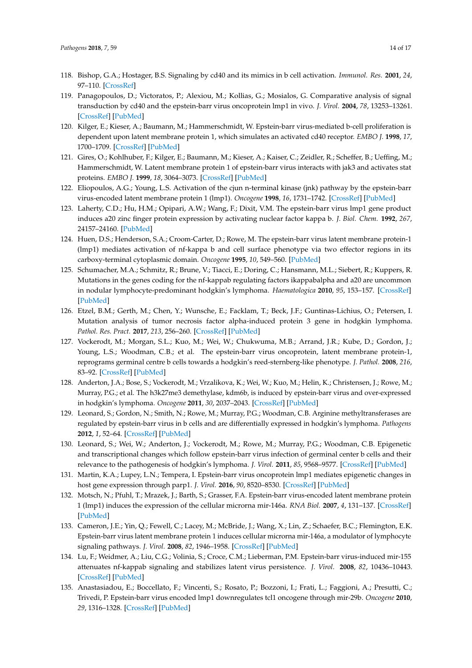- 118. Bishop, G.A.; Hostager, B.S. Signaling by cd40 and its mimics in b cell activation. *Immunol. Res.* **2001**, *24*, 97–110. [\[CrossRef\]](http://dx.doi.org/10.1385/IR:24:2:097)
- 119. Panagopoulos, D.; Victoratos, P.; Alexiou, M.; Kollias, G.; Mosialos, G. Comparative analysis of signal transduction by cd40 and the epstein-barr virus oncoprotein lmp1 in vivo. *J. Virol.* **2004**, *78*, 13253–13261. [\[CrossRef\]](http://dx.doi.org/10.1128/JVI.78.23.13253-13261.2004) [\[PubMed\]](http://www.ncbi.nlm.nih.gov/pubmed/15542676)
- <span id="page-13-0"></span>120. Kilger, E.; Kieser, A.; Baumann, M.; Hammerschmidt, W. Epstein-barr virus-mediated b-cell proliferation is dependent upon latent membrane protein 1, which simulates an activated cd40 receptor. *EMBO J.* **1998**, *17*, 1700–1709. [\[CrossRef\]](http://dx.doi.org/10.1093/emboj/17.6.1700) [\[PubMed\]](http://www.ncbi.nlm.nih.gov/pubmed/9501091)
- 121. Gires, O.; Kohlhuber, F.; Kilger, E.; Baumann, M.; Kieser, A.; Kaiser, C.; Zeidler, R.; Scheffer, B.; Ueffing, M.; Hammerschmidt, W. Latent membrane protein 1 of epstein-barr virus interacts with jak3 and activates stat proteins. *EMBO J.* **1999**, *18*, 3064–3073. [\[CrossRef\]](http://dx.doi.org/10.1093/emboj/18.11.3064) [\[PubMed\]](http://www.ncbi.nlm.nih.gov/pubmed/10357818)
- 122. Eliopoulos, A.G.; Young, L.S. Activation of the cjun n-terminal kinase (jnk) pathway by the epstein-barr virus-encoded latent membrane protein 1 (lmp1). *Oncogene* **1998**, *16*, 1731–1742. [\[CrossRef\]](http://dx.doi.org/10.1038/sj.onc.1201694) [\[PubMed\]](http://www.ncbi.nlm.nih.gov/pubmed/9582021)
- 123. Laherty, C.D.; Hu, H.M.; Opipari, A.W.; Wang, F.; Dixit, V.M. The epstein-barr virus lmp1 gene product induces a20 zinc finger protein expression by activating nuclear factor kappa b. *J. Biol. Chem.* **1992**, *267*, 24157–24160. [\[PubMed\]](http://www.ncbi.nlm.nih.gov/pubmed/1332946)
- <span id="page-13-1"></span>124. Huen, D.S.; Henderson, S.A.; Croom-Carter, D.; Rowe, M. The epstein-barr virus latent membrane protein-1 (lmp1) mediates activation of nf-kappa b and cell surface phenotype via two effector regions in its carboxy-terminal cytoplasmic domain. *Oncogene* **1995**, *10*, 549–560. [\[PubMed\]](http://www.ncbi.nlm.nih.gov/pubmed/7845680)
- <span id="page-13-2"></span>125. Schumacher, M.A.; Schmitz, R.; Brune, V.; Tiacci, E.; Doring, C.; Hansmann, M.L.; Siebert, R.; Kuppers, R. Mutations in the genes coding for the nf-kappab regulating factors ikappabalpha and a20 are uncommon in nodular lymphocyte-predominant hodgkin's lymphoma. *Haematologica* **2010**, *95*, 153–157. [\[CrossRef\]](http://dx.doi.org/10.3324/haematol.2009.010157) [\[PubMed\]](http://www.ncbi.nlm.nih.gov/pubmed/19648161)
- <span id="page-13-3"></span>126. Etzel, B.M.; Gerth, M.; Chen, Y.; Wunsche, E.; Facklam, T.; Beck, J.F.; Guntinas-Lichius, O.; Petersen, I. Mutation analysis of tumor necrosis factor alpha-induced protein 3 gene in hodgkin lymphoma. *Pathol. Res. Pract.* **2017**, *213*, 256–260. [\[CrossRef\]](http://dx.doi.org/10.1016/j.prp.2016.11.001) [\[PubMed\]](http://www.ncbi.nlm.nih.gov/pubmed/28189285)
- <span id="page-13-4"></span>127. Vockerodt, M.; Morgan, S.L.; Kuo, M.; Wei, W.; Chukwuma, M.B.; Arrand, J.R.; Kube, D.; Gordon, J.; Young, L.S.; Woodman, C.B.; et al. The epstein-barr virus oncoprotein, latent membrane protein-1, reprograms germinal centre b cells towards a hodgkin's reed-sternberg-like phenotype. *J. Pathol.* **2008**, *216*, 83–92. [\[CrossRef\]](http://dx.doi.org/10.1002/path.2384) [\[PubMed\]](http://www.ncbi.nlm.nih.gov/pubmed/18566961)
- <span id="page-13-5"></span>128. Anderton, J.A.; Bose, S.; Vockerodt, M.; Vrzalikova, K.; Wei, W.; Kuo, M.; Helin, K.; Christensen, J.; Rowe, M.; Murray, P.G.; et al. The h3k27me3 demethylase, kdm6b, is induced by epstein-barr virus and over-expressed in hodgkin's lymphoma. *Oncogene* **2011**, *30*, 2037–2043. [\[CrossRef\]](http://dx.doi.org/10.1038/onc.2010.579) [\[PubMed\]](http://www.ncbi.nlm.nih.gov/pubmed/21242977)
- 129. Leonard, S.; Gordon, N.; Smith, N.; Rowe, M.; Murray, P.G.; Woodman, C.B. Arginine methyltransferases are regulated by epstein-barr virus in b cells and are differentially expressed in hodgkin's lymphoma. *Pathogens* **2012**, *1*, 52–64. [\[CrossRef\]](http://dx.doi.org/10.3390/pathogens1010052) [\[PubMed\]](http://www.ncbi.nlm.nih.gov/pubmed/25436604)
- <span id="page-13-6"></span>130. Leonard, S.; Wei, W.; Anderton, J.; Vockerodt, M.; Rowe, M.; Murray, P.G.; Woodman, C.B. Epigenetic and transcriptional changes which follow epstein-barr virus infection of germinal center b cells and their relevance to the pathogenesis of hodgkin's lymphoma. *J. Virol.* **2011**, *85*, 9568–9577. [\[CrossRef\]](http://dx.doi.org/10.1128/JVI.00468-11) [\[PubMed\]](http://www.ncbi.nlm.nih.gov/pubmed/21752916)
- <span id="page-13-7"></span>131. Martin, K.A.; Lupey, L.N.; Tempera, I. Epstein-barr virus oncoprotein lmp1 mediates epigenetic changes in host gene expression through parp1. *J. Virol.* **2016**, *90*, 8520–8530. [\[CrossRef\]](http://dx.doi.org/10.1128/JVI.01180-16) [\[PubMed\]](http://www.ncbi.nlm.nih.gov/pubmed/27440880)
- 132. Motsch, N.; Pfuhl, T.; Mrazek, J.; Barth, S.; Grasser, F.A. Epstein-barr virus-encoded latent membrane protein 1 (lmp1) induces the expression of the cellular microrna mir-146a. *RNA Biol.* **2007**, *4*, 131–137. [\[CrossRef\]](http://dx.doi.org/10.4161/rna.4.3.5206) [\[PubMed\]](http://www.ncbi.nlm.nih.gov/pubmed/18347435)
- 133. Cameron, J.E.; Yin, Q.; Fewell, C.; Lacey, M.; McBride, J.; Wang, X.; Lin, Z.; Schaefer, B.C.; Flemington, E.K. Epstein-barr virus latent membrane protein 1 induces cellular microrna mir-146a, a modulator of lymphocyte signaling pathways. *J. Virol.* **2008**, *82*, 1946–1958. [\[CrossRef\]](http://dx.doi.org/10.1128/JVI.02136-07) [\[PubMed\]](http://www.ncbi.nlm.nih.gov/pubmed/18057241)
- 134. Lu, F.; Weidmer, A.; Liu, C.G.; Volinia, S.; Croce, C.M.; Lieberman, P.M. Epstein-barr virus-induced mir-155 attenuates nf-kappab signaling and stabilizes latent virus persistence. *J. Virol.* **2008**, *82*, 10436–10443. [\[CrossRef\]](http://dx.doi.org/10.1128/JVI.00752-08) [\[PubMed\]](http://www.ncbi.nlm.nih.gov/pubmed/18753206)
- 135. Anastasiadou, E.; Boccellato, F.; Vincenti, S.; Rosato, P.; Bozzoni, I.; Frati, L.; Faggioni, A.; Presutti, C.; Trivedi, P. Epstein-barr virus encoded lmp1 downregulates tcl1 oncogene through mir-29b. *Oncogene* **2010**, *29*, 1316–1328. [\[CrossRef\]](http://dx.doi.org/10.1038/onc.2009.439) [\[PubMed\]](http://www.ncbi.nlm.nih.gov/pubmed/19966860)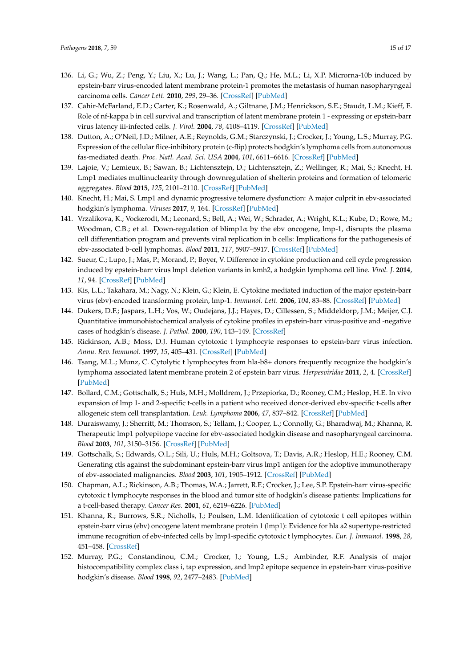- <span id="page-14-0"></span>136. Li, G.; Wu, Z.; Peng, Y.; Liu, X.; Lu, J.; Wang, L.; Pan, Q.; He, M.L.; Li, X.P. Microrna-10b induced by epstein-barr virus-encoded latent membrane protein-1 promotes the metastasis of human nasopharyngeal carcinoma cells. *Cancer Lett.* **2010**, *299*, 29–36. [\[CrossRef\]](http://dx.doi.org/10.1016/j.canlet.2010.07.021) [\[PubMed\]](http://www.ncbi.nlm.nih.gov/pubmed/20732742)
- <span id="page-14-1"></span>137. Cahir-McFarland, E.D.; Carter, K.; Rosenwald, A.; Giltnane, J.M.; Henrickson, S.E.; Staudt, L.M.; Kieff, E. Role of nf-kappa b in cell survival and transcription of latent membrane protein 1 - expressing or epstein-barr virus latency iii-infected cells. *J. Virol.* **2004**, *78*, 4108–4119. [\[CrossRef\]](http://dx.doi.org/10.1128/JVI.78.8.4108-4119.2004) [\[PubMed\]](http://www.ncbi.nlm.nih.gov/pubmed/15047827)
- <span id="page-14-2"></span>138. Dutton, A.; O'Neil, J.D.; Milner, A.E.; Reynolds, G.M.; Starczynski, J.; Crocker, J.; Young, L.S.; Murray, P.G. Expression of the cellular flice-inhibitory protein (c-flip) protects hodgkin's lymphoma cells from autonomous fas-mediated death. *Proc. Natl. Acad. Sci. USA* **2004**, *101*, 6611–6616. [\[CrossRef\]](http://dx.doi.org/10.1073/pnas.0400765101) [\[PubMed\]](http://www.ncbi.nlm.nih.gov/pubmed/15096587)
- <span id="page-14-3"></span>139. Lajoie, V.; Lemieux, B.; Sawan, B.; Lichtensztejn, D.; Lichtensztejn, Z.; Wellinger, R.; Mai, S.; Knecht, H. Lmp1 mediates multinuclearity through downregulation of shelterin proteins and formation of telomeric aggregates. *Blood* **2015**, *125*, 2101–2110. [\[CrossRef\]](http://dx.doi.org/10.1182/blood-2014-08-594176) [\[PubMed\]](http://www.ncbi.nlm.nih.gov/pubmed/25568351)
- <span id="page-14-4"></span>140. Knecht, H.; Mai, S. Lmp1 and dynamic progressive telomere dysfunction: A major culprit in ebv-associated hodgkin's lymphoma. *Viruses* **2017**, *9*, 164. [\[CrossRef\]](http://dx.doi.org/10.3390/v9070164) [\[PubMed\]](http://www.ncbi.nlm.nih.gov/pubmed/28654015)
- <span id="page-14-5"></span>141. Vrzalikova, K.; Vockerodt, M.; Leonard, S.; Bell, A.; Wei, W.; Schrader, A.; Wright, K.L.; Kube, D.; Rowe, M.; Woodman, C.B.; et al. Down-regulation of blimp1 $\alpha$  by the ebv oncogene, lmp-1, disrupts the plasma cell differentiation program and prevents viral replication in b cells: Implications for the pathogenesis of ebv-associated b-cell lymphomas. *Blood* **2011**, *117*, 5907–5917. [\[CrossRef\]](http://dx.doi.org/10.1182/blood-2010-09-307710) [\[PubMed\]](http://www.ncbi.nlm.nih.gov/pubmed/21411757)
- <span id="page-14-6"></span>142. Sueur, C.; Lupo, J.; Mas, P.; Morand, P.; Boyer, V. Difference in cytokine production and cell cycle progression induced by epstein-barr virus lmp1 deletion variants in kmh2, a hodgkin lymphoma cell line. *Virol. J.* **2014**, *11*, 94. [\[CrossRef\]](http://dx.doi.org/10.1186/1743-422X-11-94) [\[PubMed\]](http://www.ncbi.nlm.nih.gov/pubmed/24886620)
- <span id="page-14-9"></span>143. Kis, L.L.; Takahara, M.; Nagy, N.; Klein, G.; Klein, E. Cytokine mediated induction of the major epstein-barr virus (ebv)-encoded transforming protein, lmp-1. *Immunol. Lett.* **2006**, *104*, 83–88. [\[CrossRef\]](http://dx.doi.org/10.1016/j.imlet.2005.11.003) [\[PubMed\]](http://www.ncbi.nlm.nih.gov/pubmed/16386314)
- <span id="page-14-7"></span>144. Dukers, D.F.; Jaspars, L.H.; Vos, W.; Oudejans, J.J.; Hayes, D.; Cillessen, S.; Middeldorp, J.M.; Meijer, C.J. Quantitative immunohistochemical analysis of cytokine profiles in epstein-barr virus-positive and -negative cases of hodgkin's disease. *J. Pathol.* **2000**, *190*, 143–149. [\[CrossRef\]](http://dx.doi.org/10.1002/(SICI)1096-9896(200002)190:2<143::AID-PATH519>3.0.CO;2-5)
- <span id="page-14-8"></span>145. Rickinson, A.B.; Moss, D.J. Human cytotoxic t lymphocyte responses to epstein-barr virus infection. *Annu. Rev. Immunol.* **1997**, *15*, 405–431. [\[CrossRef\]](http://dx.doi.org/10.1146/annurev.immunol.15.1.405) [\[PubMed\]](http://www.ncbi.nlm.nih.gov/pubmed/9143694)
- 146. Tsang, M.L.; Munz, C. Cytolytic t lymphocytes from hla-b8+ donors frequently recognize the hodgkin's lymphoma associated latent membrane protein 2 of epstein barr virus. *Herpesviridae* **2011**, *2*, 4. [\[CrossRef\]](http://dx.doi.org/10.1186/2042-4280-2-4) [\[PubMed\]](http://www.ncbi.nlm.nih.gov/pubmed/21429247)
- 147. Bollard, C.M.; Gottschalk, S.; Huls, M.H.; Molldrem, J.; Przepiorka, D.; Rooney, C.M.; Heslop, H.E. In vivo expansion of lmp 1- and 2-specific t-cells in a patient who received donor-derived ebv-specific t-cells after allogeneic stem cell transplantation. *Leuk. Lymphoma* **2006**, *47*, 837–842. [\[CrossRef\]](http://dx.doi.org/10.1080/10428190600604724) [\[PubMed\]](http://www.ncbi.nlm.nih.gov/pubmed/16753867)
- 148. Duraiswamy, J.; Sherritt, M.; Thomson, S.; Tellam, J.; Cooper, L.; Connolly, G.; Bharadwaj, M.; Khanna, R. Therapeutic lmp1 polyepitope vaccine for ebv-associated hodgkin disease and nasopharyngeal carcinoma. *Blood* **2003**, *101*, 3150–3156. [\[CrossRef\]](http://dx.doi.org/10.1182/blood-2002-10-3092) [\[PubMed\]](http://www.ncbi.nlm.nih.gov/pubmed/12468425)
- 149. Gottschalk, S.; Edwards, O.L.; Sili, U.; Huls, M.H.; Goltsova, T.; Davis, A.R.; Heslop, H.E.; Rooney, C.M. Generating ctls against the subdominant epstein-barr virus lmp1 antigen for the adoptive immunotherapy of ebv-associated malignancies. *Blood* **2003**, *101*, 1905–1912. [\[CrossRef\]](http://dx.doi.org/10.1182/blood-2002-05-1514) [\[PubMed\]](http://www.ncbi.nlm.nih.gov/pubmed/12411306)
- 150. Chapman, A.L.; Rickinson, A.B.; Thomas, W.A.; Jarrett, R.F.; Crocker, J.; Lee, S.P. Epstein-barr virus-specific cytotoxic t lymphocyte responses in the blood and tumor site of hodgkin's disease patients: Implications for a t-cell-based therapy. *Cancer Res.* **2001**, *61*, 6219–6226. [\[PubMed\]](http://www.ncbi.nlm.nih.gov/pubmed/11507075)
- 151. Khanna, R.; Burrows, S.R.; Nicholls, J.; Poulsen, L.M. Identification of cytotoxic t cell epitopes within epstein-barr virus (ebv) oncogene latent membrane protein 1 (lmp1): Evidence for hla a2 supertype-restricted immune recognition of ebv-infected cells by lmp1-specific cytotoxic t lymphocytes. *Eur. J. Immunol.* **1998**, *28*, 451–458. [\[CrossRef\]](http://dx.doi.org/10.1002/(SICI)1521-4141(199802)28:02<451::AID-IMMU451>3.0.CO;2-U)
- 152. Murray, P.G.; Constandinou, C.M.; Crocker, J.; Young, L.S.; Ambinder, R.F. Analysis of major histocompatibility complex class i, tap expression, and lmp2 epitope sequence in epstein-barr virus-positive hodgkin's disease. *Blood* **1998**, *92*, 2477–2483. [\[PubMed\]](http://www.ncbi.nlm.nih.gov/pubmed/9746788)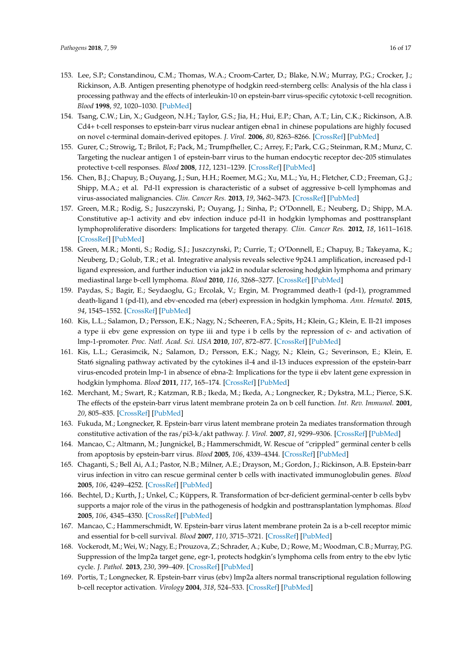- 153. Lee, S.P.; Constandinou, C.M.; Thomas, W.A.; Croom-Carter, D.; Blake, N.W.; Murray, P.G.; Crocker, J.; Rickinson, A.B. Antigen presenting phenotype of hodgkin reed-sternberg cells: Analysis of the hla class i processing pathway and the effects of interleukin-10 on epstein-barr virus-specific cytotoxic t-cell recognition. *Blood* **1998**, *92*, 1020–1030. [\[PubMed\]](http://www.ncbi.nlm.nih.gov/pubmed/9680372)
- 154. Tsang, C.W.; Lin, X.; Gudgeon, N.H.; Taylor, G.S.; Jia, H.; Hui, E.P.; Chan, A.T.; Lin, C.K.; Rickinson, A.B. Cd4+ t-cell responses to epstein-barr virus nuclear antigen ebna1 in chinese populations are highly focused on novel c-terminal domain-derived epitopes. *J. Virol.* **2006**, *80*, 8263–8266. [\[CrossRef\]](http://dx.doi.org/10.1128/JVI.00400-06) [\[PubMed\]](http://www.ncbi.nlm.nih.gov/pubmed/16873282)
- <span id="page-15-0"></span>155. Gurer, C.; Strowig, T.; Brilot, F.; Pack, M.; Trumpfheller, C.; Arrey, F.; Park, C.G.; Steinman, R.M.; Munz, C. Targeting the nuclear antigen 1 of epstein-barr virus to the human endocytic receptor dec-205 stimulates protective t-cell responses. *Blood* **2008**, *112*, 1231–1239. [\[CrossRef\]](http://dx.doi.org/10.1182/blood-2008-03-148072) [\[PubMed\]](http://www.ncbi.nlm.nih.gov/pubmed/18519810)
- <span id="page-15-1"></span>156. Chen, B.J.; Chapuy, B.; Ouyang, J.; Sun, H.H.; Roemer, M.G.; Xu, M.L.; Yu, H.; Fletcher, C.D.; Freeman, G.J.; Shipp, M.A.; et al. Pd-l1 expression is characteristic of a subset of aggressive b-cell lymphomas and virus-associated malignancies. *Clin. Cancer Res.* **2013**, *19*, 3462–3473. [\[CrossRef\]](http://dx.doi.org/10.1158/1078-0432.CCR-13-0855) [\[PubMed\]](http://www.ncbi.nlm.nih.gov/pubmed/23674495)
- <span id="page-15-2"></span>157. Green, M.R.; Rodig, S.; Juszczynski, P.; Ouyang, J.; Sinha, P.; O'Donnell, E.; Neuberg, D.; Shipp, M.A. Constitutive ap-1 activity and ebv infection induce pd-l1 in hodgkin lymphomas and posttransplant lymphoproliferative disorders: Implications for targeted therapy. *Clin. Cancer Res.* **2012**, *18*, 1611–1618. [\[CrossRef\]](http://dx.doi.org/10.1158/1078-0432.CCR-11-1942) [\[PubMed\]](http://www.ncbi.nlm.nih.gov/pubmed/22271878)
- <span id="page-15-3"></span>158. Green, M.R.; Monti, S.; Rodig, S.J.; Juszczynski, P.; Currie, T.; O'Donnell, E.; Chapuy, B.; Takeyama, K.; Neuberg, D.; Golub, T.R.; et al. Integrative analysis reveals selective 9p24.1 amplification, increased pd-1 ligand expression, and further induction via jak2 in nodular sclerosing hodgkin lymphoma and primary mediastinal large b-cell lymphoma. *Blood* **2010**, *116*, 3268–3277. [\[CrossRef\]](http://dx.doi.org/10.1182/blood-2010-05-282780) [\[PubMed\]](http://www.ncbi.nlm.nih.gov/pubmed/20628145)
- <span id="page-15-4"></span>159. Paydas, S.; Bagir, E.; Seydaoglu, G.; Ercolak, V.; Ergin, M. Programmed death-1 (pd-1), programmed death-ligand 1 (pd-l1), and ebv-encoded rna (eber) expression in hodgkin lymphoma. *Ann. Hematol.* **2015**, *94*, 1545–1552. [\[CrossRef\]](http://dx.doi.org/10.1007/s00277-015-2403-2) [\[PubMed\]](http://www.ncbi.nlm.nih.gov/pubmed/26004934)
- <span id="page-15-5"></span>160. Kis, L.L.; Salamon, D.; Persson, E.K.; Nagy, N.; Scheeren, F.A.; Spits, H.; Klein, G.; Klein, E. Il-21 imposes a type ii ebv gene expression on type iii and type i b cells by the repression of c- and activation of lmp-1-promoter. *Proc. Natl. Acad. Sci. USA* **2010**, *107*, 872–877. [\[CrossRef\]](http://dx.doi.org/10.1073/pnas.0912920107) [\[PubMed\]](http://www.ncbi.nlm.nih.gov/pubmed/20080768)
- <span id="page-15-6"></span>161. Kis, L.L.; Gerasimcik, N.; Salamon, D.; Persson, E.K.; Nagy, N.; Klein, G.; Severinson, E.; Klein, E. Stat6 signaling pathway activated by the cytokines il-4 and il-13 induces expression of the epstein-barr virus-encoded protein lmp-1 in absence of ebna-2: Implications for the type ii ebv latent gene expression in hodgkin lymphoma. *Blood* **2011**, *117*, 165–174. [\[CrossRef\]](http://dx.doi.org/10.1182/blood-2010-01-265272) [\[PubMed\]](http://www.ncbi.nlm.nih.gov/pubmed/20876453)
- <span id="page-15-7"></span>162. Merchant, M.; Swart, R.; Katzman, R.B.; Ikeda, M.; Ikeda, A.; Longnecker, R.; Dykstra, M.L.; Pierce, S.K. The effects of the epstein-barr virus latent membrane protein 2a on b cell function. *Int. Rev. Immunol.* **2001**, *20*, 805–835. [\[CrossRef\]](http://dx.doi.org/10.3109/08830180109045591) [\[PubMed\]](http://www.ncbi.nlm.nih.gov/pubmed/11913951)
- <span id="page-15-8"></span>163. Fukuda, M.; Longnecker, R. Epstein-barr virus latent membrane protein 2a mediates transformation through constitutive activation of the ras/pi3-k/akt pathway. *J. Virol.* **2007**, *81*, 9299–9306. [\[CrossRef\]](http://dx.doi.org/10.1128/JVI.00537-07) [\[PubMed\]](http://www.ncbi.nlm.nih.gov/pubmed/17582000)
- <span id="page-15-9"></span>164. Mancao, C.; Altmann, M.; Jungnickel, B.; Hammerschmidt, W. Rescue of "crippled" germinal center b cells from apoptosis by epstein-barr virus. *Blood* **2005**, *106*, 4339–4344. [\[CrossRef\]](http://dx.doi.org/10.1182/blood-2005-06-2341) [\[PubMed\]](http://www.ncbi.nlm.nih.gov/pubmed/16076866)
- 165. Chaganti, S.; Bell Ai, A.I.; Pastor, N.B.; Milner, A.E.; Drayson, M.; Gordon, J.; Rickinson, A.B. Epstein-barr virus infection in vitro can rescue germinal center b cells with inactivated immunoglobulin genes. *Blood* **2005**, *106*, 4249–4252. [\[CrossRef\]](http://dx.doi.org/10.1182/blood-2005-06-2327) [\[PubMed\]](http://www.ncbi.nlm.nih.gov/pubmed/16123211)
- <span id="page-15-10"></span>166. Bechtel, D.; Kurth, J.; Unkel, C.; Küppers, R. Transformation of bcr-deficient germinal-center b cells bybv supports a major role of the virus in the pathogenesis of hodgkin and posttransplantation lymphomas. *Blood* **2005**, *106*, 4345–4350. [\[CrossRef\]](http://dx.doi.org/10.1182/blood-2005-06-2342) [\[PubMed\]](http://www.ncbi.nlm.nih.gov/pubmed/16131568)
- <span id="page-15-11"></span>167. Mancao, C.; Hammerschmidt, W. Epstein-barr virus latent membrane protein 2a is a b-cell receptor mimic and essential for b-cell survival. *Blood* **2007**, *110*, 3715–3721. [\[CrossRef\]](http://dx.doi.org/10.1182/blood-2007-05-090142) [\[PubMed\]](http://www.ncbi.nlm.nih.gov/pubmed/17682125)
- <span id="page-15-12"></span>168. Vockerodt, M.; Wei, W.; Nagy, E.; Prouzova, Z.; Schrader, A.; Kube, D.; Rowe, M.; Woodman, C.B.; Murray, P.G. Suppression of the lmp2a target gene, egr-1, protects hodgkin's lymphoma cells from entry to the ebv lytic cycle. *J. Pathol.* **2013**, *230*, 399–409. [\[CrossRef\]](http://dx.doi.org/10.1002/path.4198) [\[PubMed\]](http://www.ncbi.nlm.nih.gov/pubmed/23592216)
- 169. Portis, T.; Longnecker, R. Epstein-barr virus (ebv) lmp2a alters normal transcriptional regulation following b-cell receptor activation. *Virology* **2004**, *318*, 524–533. [\[CrossRef\]](http://dx.doi.org/10.1016/j.virol.2003.09.017) [\[PubMed\]](http://www.ncbi.nlm.nih.gov/pubmed/14972521)